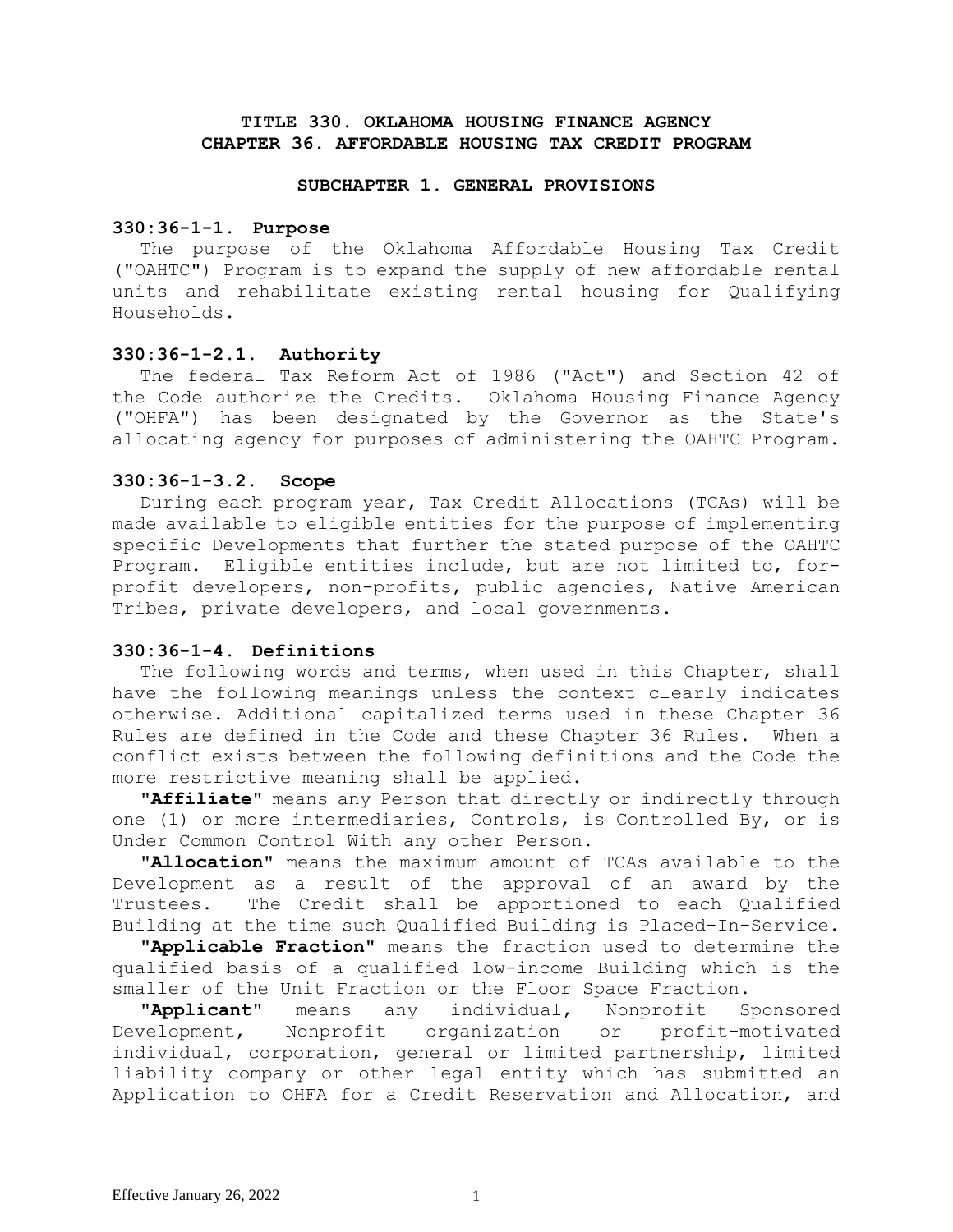# **TITLE 330. OKLAHOMA HOUSING FINANCE AGENCY CHAPTER 36. AFFORDABLE HOUSING TAX CREDIT PROGRAM**

#### **SUBCHAPTER 1. GENERAL PROVISIONS**

#### **330:36-1-1. Purpose**

The purpose of the Oklahoma Affordable Housing Tax Credit ("OAHTC") Program is to expand the supply of new affordable rental units and rehabilitate existing rental housing for Qualifying Households.

## **330:36-1-2.1. Authority**

The federal Tax Reform Act of 1986 ("Act") and Section 42 of the Code authorize the Credits. Oklahoma Housing Finance Agency ("OHFA") has been designated by the Governor as the State's allocating agency for purposes of administering the OAHTC Program.

### **330:36-1-3.2. Scope**

During each program year, Tax Credit Allocations (TCAs) will be made available to eligible entities for the purpose of implementing specific Developments that further the stated purpose of the OAHTC Program. Eligible entities include, but are not limited to, forprofit developers, non-profits, public agencies, Native American Tribes, private developers, and local governments.

# **330:36-1-4. Definitions**

The following words and terms, when used in this Chapter, shall have the following meanings unless the context clearly indicates otherwise. Additional capitalized terms used in these Chapter 36 Rules are defined in the Code and these Chapter 36 Rules. When a conflict exists between the following definitions and the Code the more restrictive meaning shall be applied.

**"Affiliate"** means any Person that directly or indirectly through one (1) or more intermediaries, Controls, is Controlled By, or is Under Common Control With any other Person.

**"Allocation"** means the maximum amount of TCAs available to the Development as a result of the approval of an award by the Trustees. The Credit shall be apportioned to each Qualified Building at the time such Qualified Building is Placed-In-Service.

**"Applicable Fraction"** means the fraction used to determine the qualified basis of a qualified low-income Building which is the smaller of the Unit Fraction or the Floor Space Fraction.

**"Applicant"** means any individual, Nonprofit Sponsored Development, Nonprofit organization or profit-motivated individual, corporation, general or limited partnership, limited liability company or other legal entity which has submitted an Application to OHFA for a Credit Reservation and Allocation, and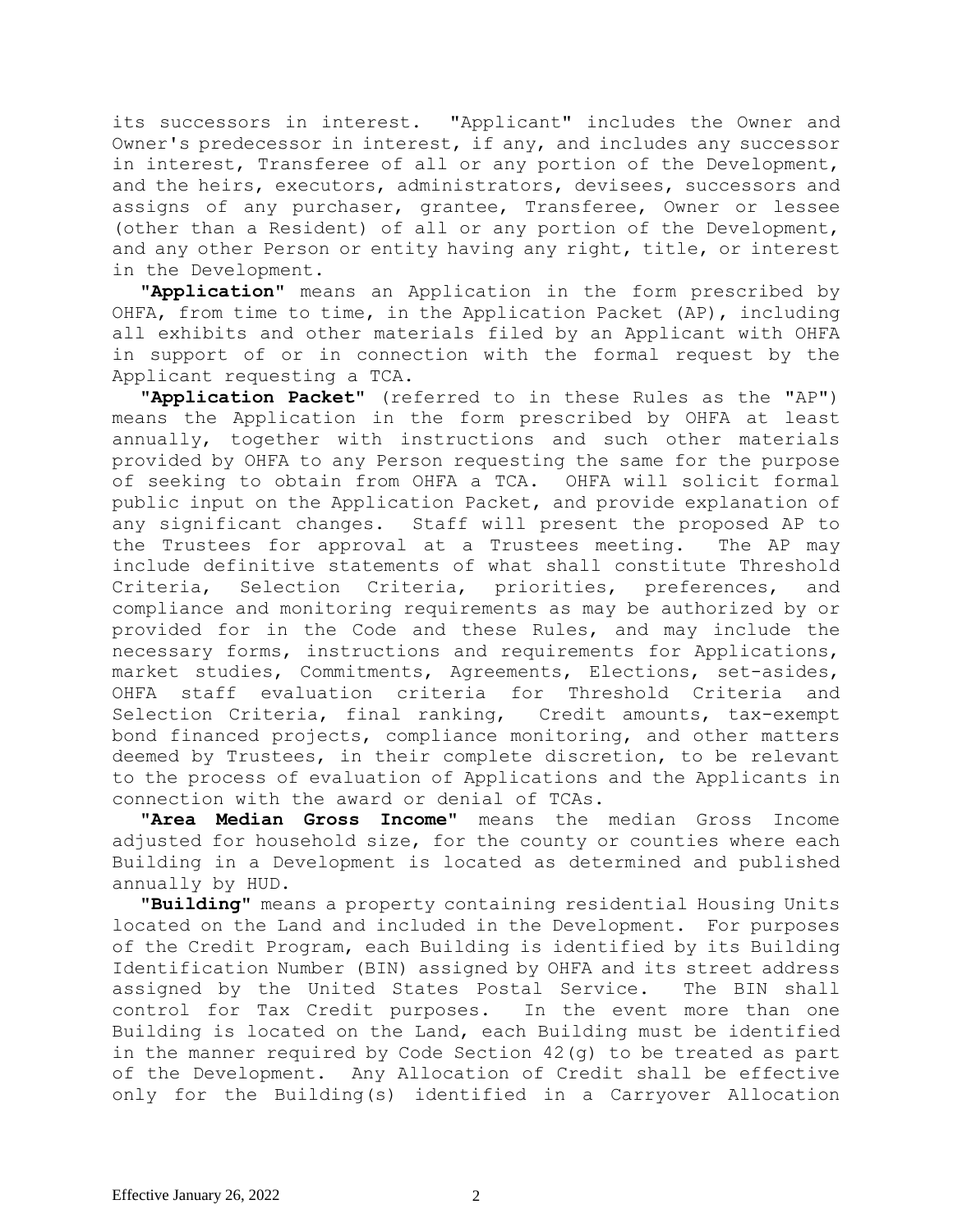its successors in interest. "Applicant" includes the Owner and Owner's predecessor in interest, if any, and includes any successor in interest, Transferee of all or any portion of the Development, and the heirs, executors, administrators, devisees, successors and assigns of any purchaser, grantee, Transferee, Owner or lessee (other than a Resident) of all or any portion of the Development, and any other Person or entity having any right, title, or interest in the Development.

**"Application"** means an Application in the form prescribed by OHFA, from time to time, in the Application Packet (AP), including all exhibits and other materials filed by an Applicant with OHFA in support of or in connection with the formal request by the Applicant requesting a TCA.

**"Application Packet"** (referred to in these Rules as the "AP") means the Application in the form prescribed by OHFA at least annually, together with instructions and such other materials provided by OHFA to any Person requesting the same for the purpose of seeking to obtain from OHFA a TCA. OHFA will solicit formal public input on the Application Packet, and provide explanation of any significant changes. Staff will present the proposed AP to the Trustees for approval at a Trustees meeting. The AP may include definitive statements of what shall constitute Threshold Criteria, Selection Criteria, priorities, preferences, and compliance and monitoring requirements as may be authorized by or provided for in the Code and these Rules, and may include the necessary forms, instructions and requirements for Applications, market studies, Commitments, Agreements, Elections, set-asides, OHFA staff evaluation criteria for Threshold Criteria and Selection Criteria, final ranking, Credit amounts, tax-exempt bond financed projects, compliance monitoring, and other matters deemed by Trustees, in their complete discretion, to be relevant to the process of evaluation of Applications and the Applicants in connection with the award or denial of TCAs.

**"Area Median Gross Income"** means the median Gross Income adjusted for household size, for the county or counties where each Building in a Development is located as determined and published annually by HUD.

**"Building"** means a property containing residential Housing Units located on the Land and included in the Development. For purposes of the Credit Program, each Building is identified by its Building Identification Number (BIN) assigned by OHFA and its street address assigned by the United States Postal Service. The BIN shall control for Tax Credit purposes. In the event more than one Building is located on the Land, each Building must be identified in the manner required by Code Section 42(g) to be treated as part of the Development. Any Allocation of Credit shall be effective only for the Building(s) identified in a Carryover Allocation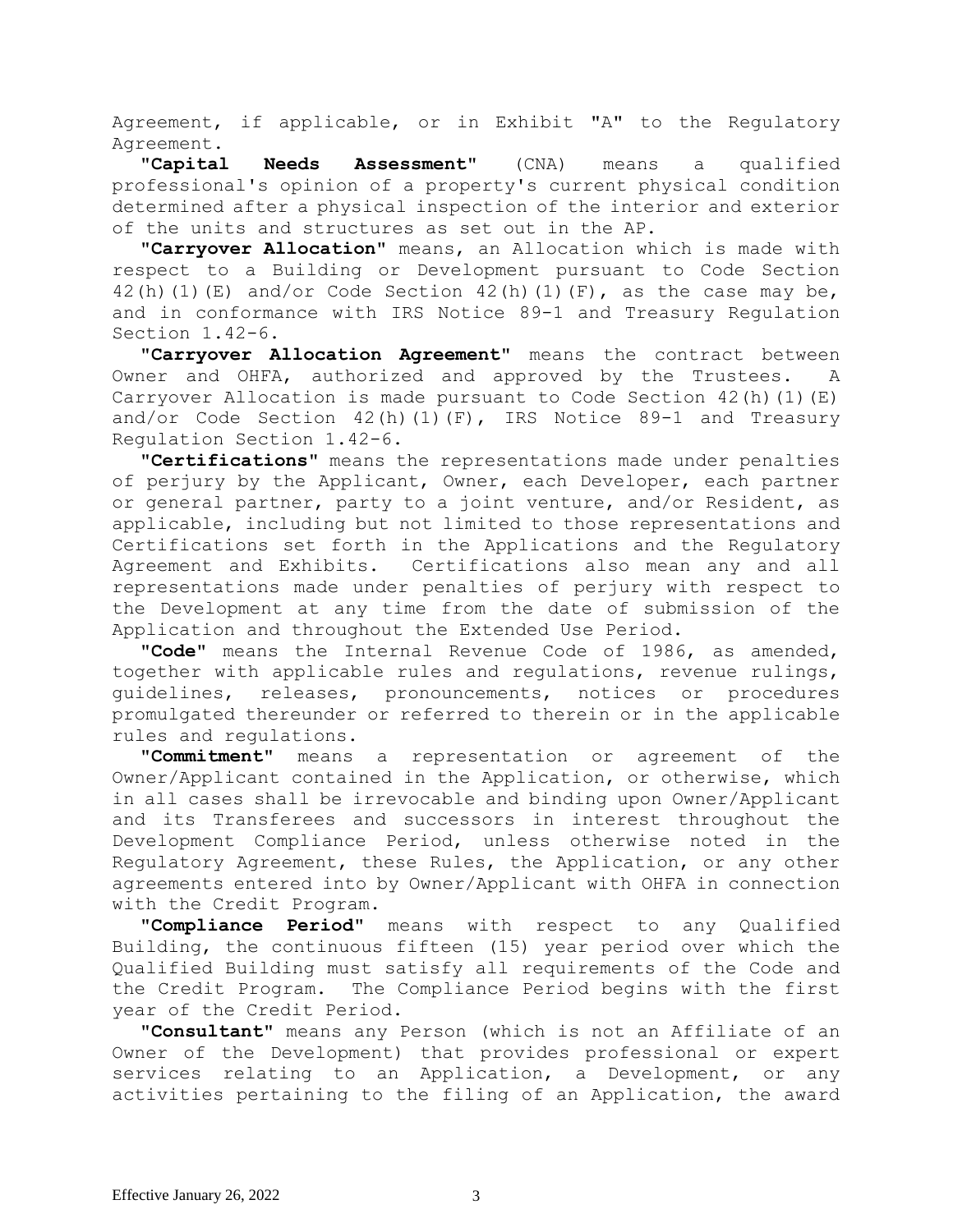Agreement, if applicable, or in Exhibit "A" to the Regulatory Agreement.

**"Capital Needs Assessment"** (CNA) means a qualified professional's opinion of a property's current physical condition determined after a physical inspection of the interior and exterior of the units and structures as set out in the AP.

**"Carryover Allocation"** means, an Allocation which is made with respect to a Building or Development pursuant to Code Section 42(h)(1)(E) and/or Code Section 42(h)(1)(F), as the case may be, and in conformance with IRS Notice 89-1 and Treasury Regulation Section 1.42-6.

**"Carryover Allocation Agreement"** means the contract between Owner and OHFA, authorized and approved by the Trustees. A Carryover Allocation is made pursuant to Code Section  $42(h)(1)(E)$ and/or Code Section  $42(h)(1)(F)$ , IRS Notice 89-1 and Treasury Regulation Section 1.42-6.

**"Certifications"** means the representations made under penalties of perjury by the Applicant, Owner, each Developer, each partner or general partner, party to a joint venture, and/or Resident, as applicable, including but not limited to those representations and Certifications set forth in the Applications and the Regulatory Agreement and Exhibits. Certifications also mean any and all representations made under penalties of perjury with respect to the Development at any time from the date of submission of the Application and throughout the Extended Use Period.

**"Code"** means the Internal Revenue Code of 1986, as amended, together with applicable rules and regulations, revenue rulings, guidelines, releases, pronouncements, notices or procedures promulgated thereunder or referred to therein or in the applicable rules and regulations.

**"Commitment"** means a representation or agreement of the Owner/Applicant contained in the Application, or otherwise, which in all cases shall be irrevocable and binding upon Owner/Applicant and its Transferees and successors in interest throughout the Development Compliance Period, unless otherwise noted in the Regulatory Agreement, these Rules, the Application, or any other agreements entered into by Owner/Applicant with OHFA in connection with the Credit Program.

**"Compliance Period"** means with respect to any Qualified Building, the continuous fifteen (15) year period over which the Qualified Building must satisfy all requirements of the Code and the Credit Program. The Compliance Period begins with the first year of the Credit Period.

**"Consultant"** means any Person (which is not an Affiliate of an Owner of the Development) that provides professional or expert services relating to an Application, a Development, or any activities pertaining to the filing of an Application, the award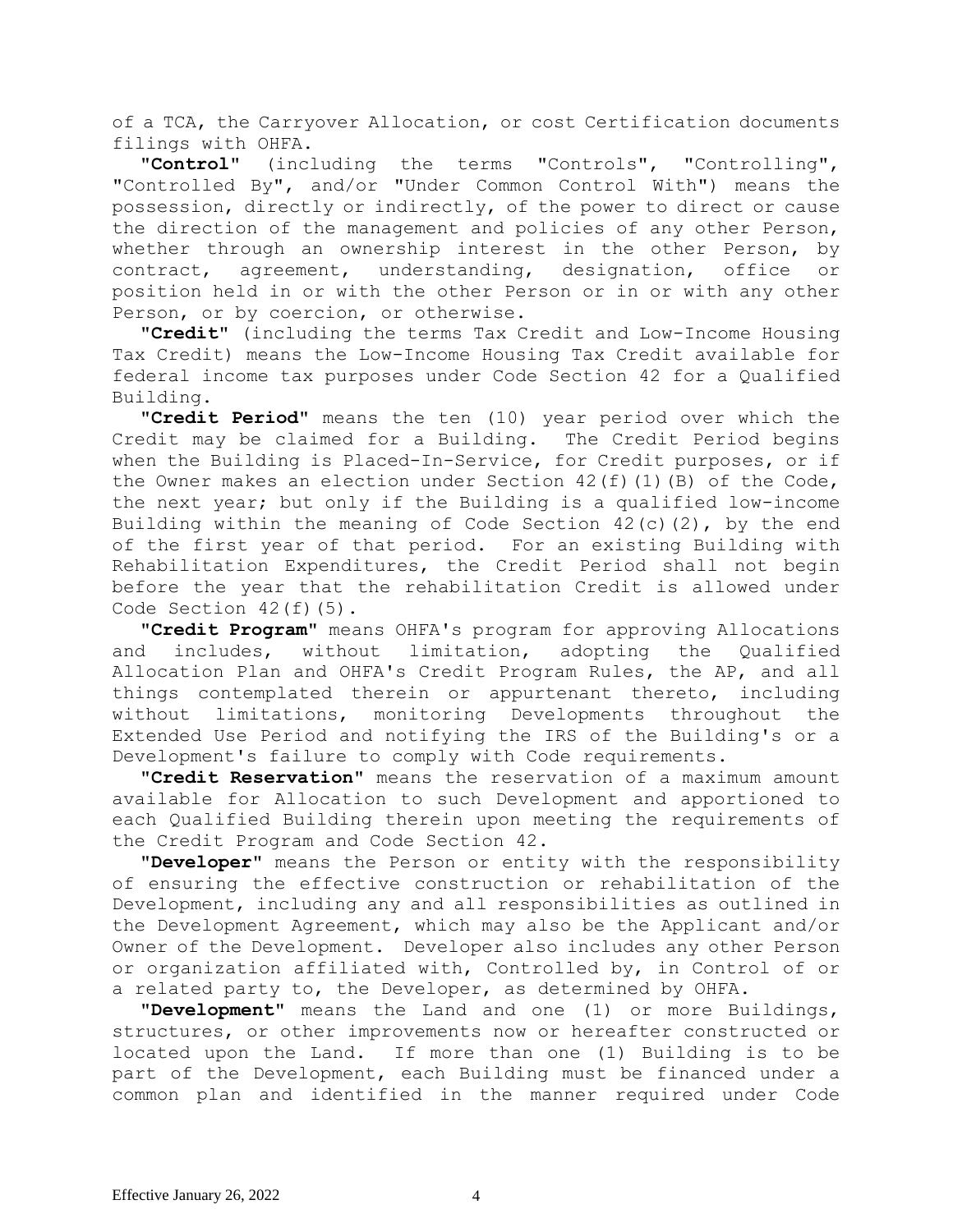of a TCA, the Carryover Allocation, or cost Certification documents filings with OHFA.

**"Control"** (including the terms "Controls", "Controlling", "Controlled By", and/or "Under Common Control With") means the possession, directly or indirectly, of the power to direct or cause the direction of the management and policies of any other Person, whether through an ownership interest in the other Person, by contract, agreement, understanding, designation, office or position held in or with the other Person or in or with any other Person, or by coercion, or otherwise.

**"Credit"** (including the terms Tax Credit and Low-Income Housing Tax Credit) means the Low-Income Housing Tax Credit available for federal income tax purposes under Code Section 42 for a Qualified Building.

**"Credit Period"** means the ten (10) year period over which the Credit may be claimed for a Building. The Credit Period begins when the Building is Placed-In-Service, for Credit purposes, or if the Owner makes an election under Section  $42(f)(1)(B)$  of the Code, the next year; but only if the Building is a qualified low-income Building within the meaning of Code Section  $42(c)(2)$ , by the end of the first year of that period. For an existing Building with Rehabilitation Expenditures, the Credit Period shall not begin before the year that the rehabilitation Credit is allowed under Code Section 42(f)(5).

**"Credit Program"** means OHFA's program for approving Allocations and includes, without limitation, adopting the Qualified Allocation Plan and OHFA's Credit Program Rules, the AP, and all things contemplated therein or appurtenant thereto, including without limitations, monitoring Developments throughout the Extended Use Period and notifying the IRS of the Building's or a Development's failure to comply with Code requirements.

**"Credit Reservation"** means the reservation of a maximum amount available for Allocation to such Development and apportioned to each Qualified Building therein upon meeting the requirements of the Credit Program and Code Section 42.

**"Developer"** means the Person or entity with the responsibility of ensuring the effective construction or rehabilitation of the Development, including any and all responsibilities as outlined in the Development Agreement, which may also be the Applicant and/or Owner of the Development. Developer also includes any other Person or organization affiliated with, Controlled by, in Control of or a related party to, the Developer, as determined by OHFA.

**"Development"** means the Land and one (1) or more Buildings, structures, or other improvements now or hereafter constructed or located upon the Land. If more than one (1) Building is to be part of the Development, each Building must be financed under a common plan and identified in the manner required under Code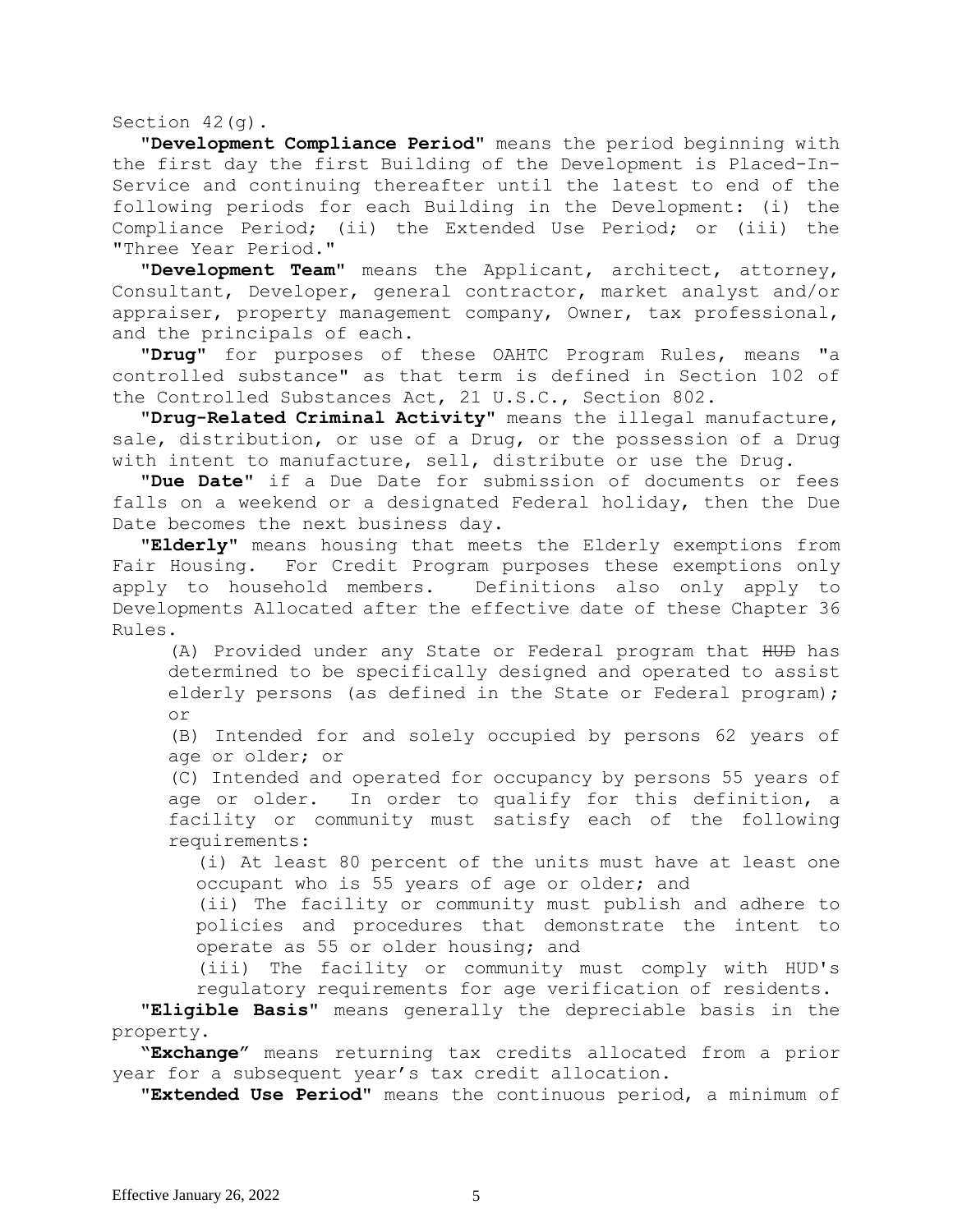Section 42(g).

**"Development Compliance Period"** means the period beginning with the first day the first Building of the Development is Placed-In-Service and continuing thereafter until the latest to end of the following periods for each Building in the Development: (i) the Compliance Period; (ii) the Extended Use Period; or (iii) the "Three Year Period."

**"Development Team"** means the Applicant, architect, attorney, Consultant, Developer, general contractor, market analyst and/or appraiser, property management company, Owner, tax professional, and the principals of each.

**"Drug"** for purposes of these OAHTC Program Rules, means "a controlled substance" as that term is defined in Section 102 of the Controlled Substances Act, 21 U.S.C., Section 802.

**"Drug-Related Criminal Activity"** means the illegal manufacture, sale, distribution, or use of a Drug, or the possession of a Drug with intent to manufacture, sell, distribute or use the Drug.

**"Due Date"** if a Due Date for submission of documents or fees falls on a weekend or a designated Federal holiday, then the Due Date becomes the next business day.

**"Elderly"** means housing that meets the Elderly exemptions from Fair Housing. For Credit Program purposes these exemptions only apply to household members. Definitions also only apply to Developments Allocated after the effective date of these Chapter 36 Rules.

(A) Provided under any State or Federal program that HUD has determined to be specifically designed and operated to assist elderly persons (as defined in the State or Federal program); or

(B) Intended for and solely occupied by persons 62 years of age or older; or

(C) Intended and operated for occupancy by persons 55 years of age or older. In order to qualify for this definition, a facility or community must satisfy each of the following requirements:

(i) At least 80 percent of the units must have at least one occupant who is 55 years of age or older; and

(ii) The facility or community must publish and adhere to policies and procedures that demonstrate the intent to operate as 55 or older housing; and

(iii) The facility or community must comply with HUD's regulatory requirements for age verification of residents.

**"Eligible Basis"** means generally the depreciable basis in the property.

**"Exchange"** means returning tax credits allocated from a prior year for a subsequent year's tax credit allocation.

**"Extended Use Period"** means the continuous period, a minimum of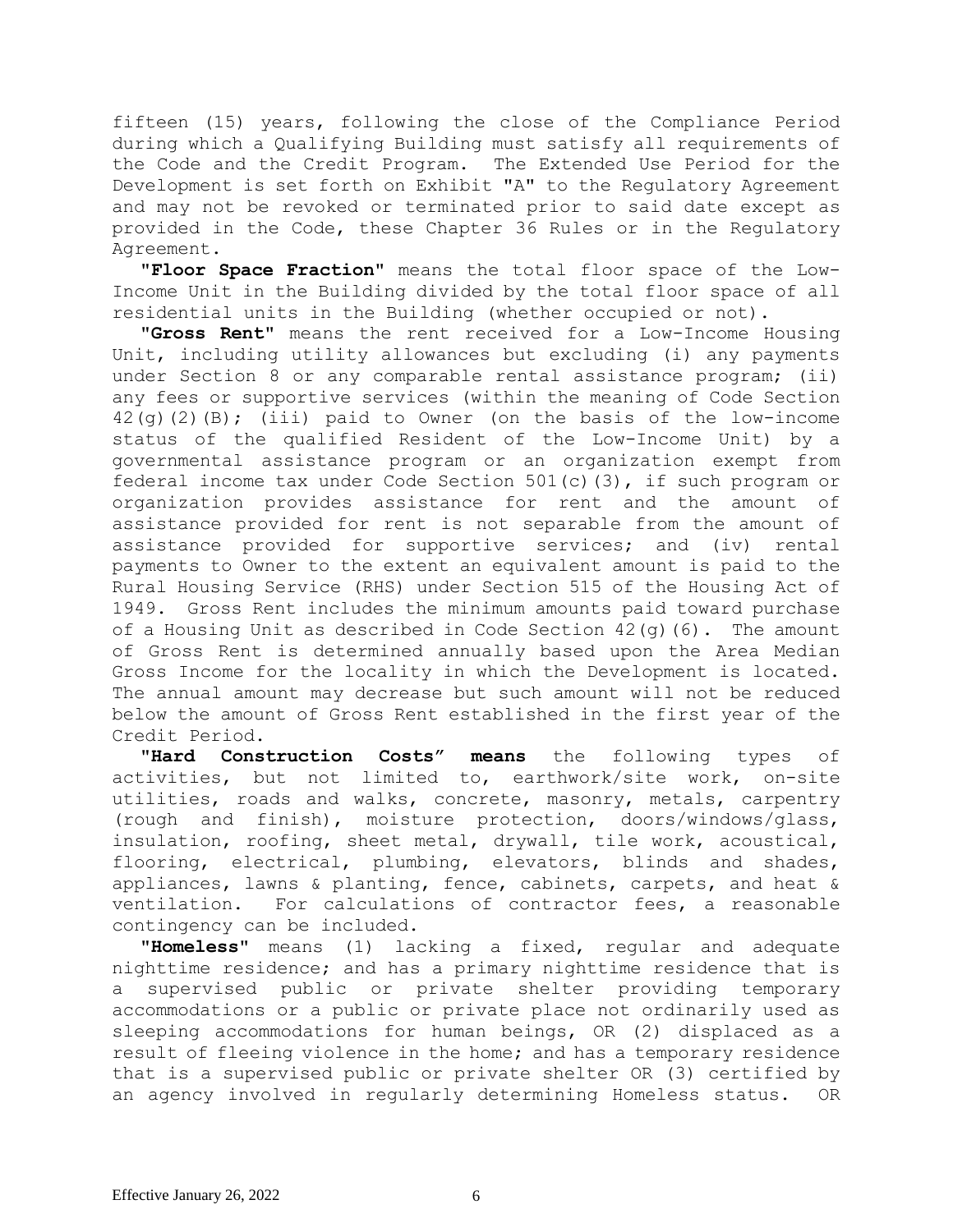fifteen (15) years, following the close of the Compliance Period during which a Qualifying Building must satisfy all requirements of the Code and the Credit Program. The Extended Use Period for the Development is set forth on Exhibit "A" to the Regulatory Agreement and may not be revoked or terminated prior to said date except as provided in the Code, these Chapter 36 Rules or in the Regulatory Agreement.

**"Floor Space Fraction"** means the total floor space of the Low-Income Unit in the Building divided by the total floor space of all residential units in the Building (whether occupied or not).

**"Gross Rent"** means the rent received for a Low-Income Housing Unit, including utility allowances but excluding (i) any payments under Section 8 or any comparable rental assistance program; (ii) any fees or supportive services (within the meaning of Code Section  $42$ (g)(2)(B); (iii) paid to Owner (on the basis of the low-income status of the qualified Resident of the Low-Income Unit) by a governmental assistance program or an organization exempt from federal income tax under Code Section 501(c)(3), if such program or organization provides assistance for rent and the amount of assistance provided for rent is not separable from the amount of assistance provided for supportive services; and (iv) rental payments to Owner to the extent an equivalent amount is paid to the Rural Housing Service (RHS) under Section 515 of the Housing Act of 1949. Gross Rent includes the minimum amounts paid toward purchase of a Housing Unit as described in Code Section  $42(q)(6)$ . The amount of Gross Rent is determined annually based upon the Area Median Gross Income for the locality in which the Development is located. The annual amount may decrease but such amount will not be reduced below the amount of Gross Rent established in the first year of the Credit Period.

**"Hard Construction Costs" means** the following types of activities, but not limited to, earthwork/site work, on-site utilities, roads and walks, concrete, masonry, metals, carpentry (rough and finish), moisture protection, doors/windows/glass, insulation, roofing, sheet metal, drywall, tile work, acoustical, flooring, electrical, plumbing, elevators, blinds and shades, appliances, lawns & planting, fence, cabinets, carpets, and heat & ventilation. For calculations of contractor fees, a reasonable contingency can be included.

**"Homeless"** means (1) lacking a fixed, regular and adequate nighttime residence; and has a primary nighttime residence that is a supervised public or private shelter providing temporary accommodations or a public or private place not ordinarily used as sleeping accommodations for human beings, OR (2) displaced as a result of fleeing violence in the home; and has a temporary residence that is a supervised public or private shelter OR (3) certified by an agency involved in regularly determining Homeless status. OR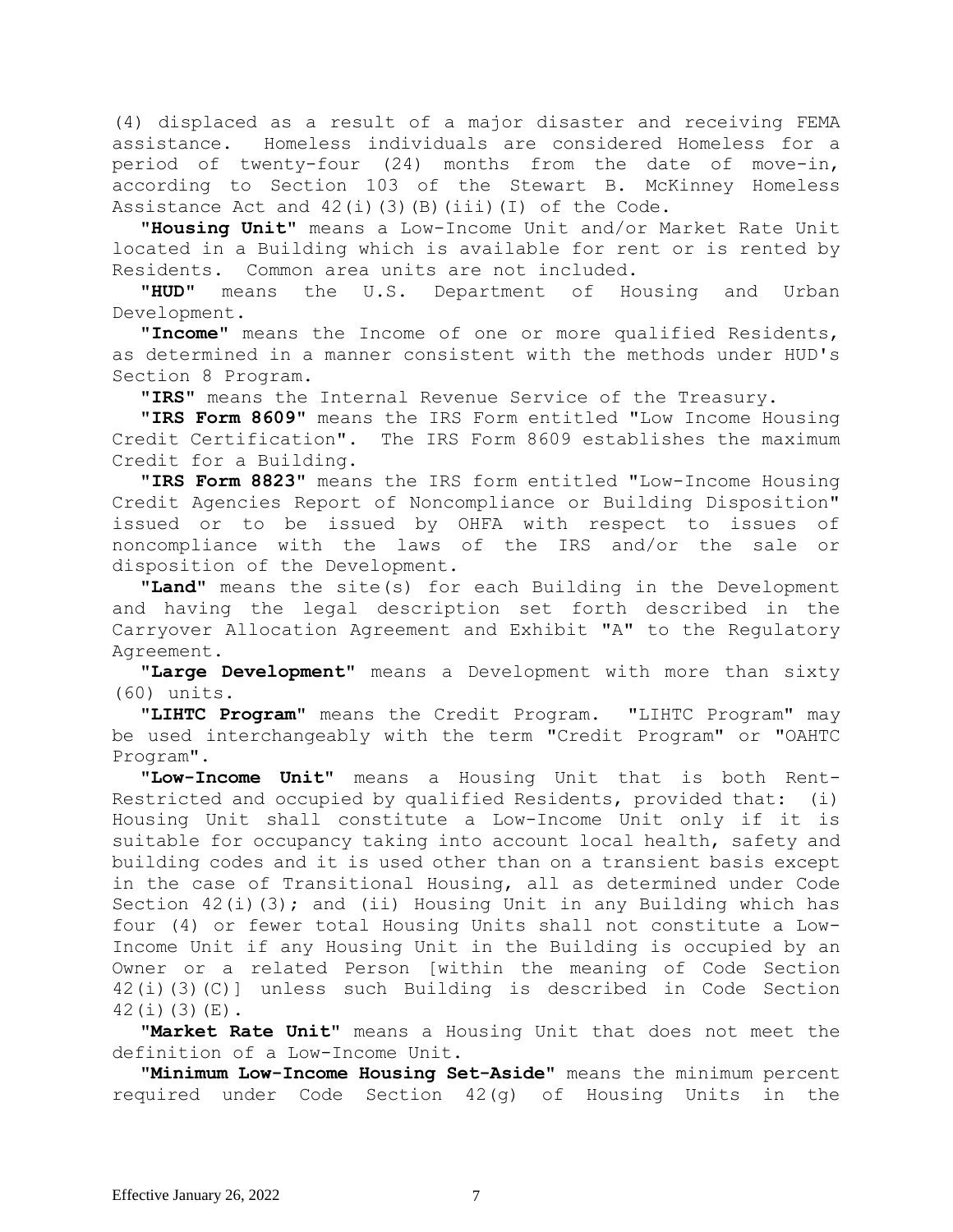(4) displaced as a result of a major disaster and receiving FEMA assistance. Homeless individuals are considered Homeless for a period of twenty-four (24) months from the date of move-in, according to Section 103 of the Stewart B. McKinney Homeless Assistance Act and  $42(i)(3)(B)(iii)(I)$  of the Code.

**"Housing Unit"** means a Low-Income Unit and/or Market Rate Unit located in a Building which is available for rent or is rented by Residents. Common area units are not included.

**"HUD"** means the U.S. Department of Housing and Urban Development.

**"Income"** means the Income of one or more qualified Residents, as determined in a manner consistent with the methods under HUD's Section 8 Program.

**"IRS"** means the Internal Revenue Service of the Treasury.

**"IRS Form 8609"** means the IRS Form entitled "Low Income Housing Credit Certification". The IRS Form 8609 establishes the maximum Credit for a Building.

**"IRS Form 8823"** means the IRS form entitled "Low-Income Housing Credit Agencies Report of Noncompliance or Building Disposition" issued or to be issued by OHFA with respect to issues of noncompliance with the laws of the IRS and/or the sale or disposition of the Development.

**"Land"** means the site(s) for each Building in the Development and having the legal description set forth described in the Carryover Allocation Agreement and Exhibit "A" to the Regulatory Agreement.

**"Large Development"** means a Development with more than sixty (60) units.

**"LIHTC Program"** means the Credit Program. "LIHTC Program" may be used interchangeably with the term "Credit Program" or "OAHTC Program".

**"Low-Income Unit"** means a Housing Unit that is both Rent-Restricted and occupied by qualified Residents, provided that: (i) Housing Unit shall constitute a Low-Income Unit only if it is suitable for occupancy taking into account local health, safety and building codes and it is used other than on a transient basis except in the case of Transitional Housing, all as determined under Code Section  $42(i)(3)$ ; and (ii) Housing Unit in any Building which has four (4) or fewer total Housing Units shall not constitute a Low-Income Unit if any Housing Unit in the Building is occupied by an Owner or a related Person [within the meaning of Code Section 42(i)(3)(C)] unless such Building is described in Code Section 42(i)(3)(E).

**"Market Rate Unit"** means a Housing Unit that does not meet the definition of a Low-Income Unit.

**"Minimum Low-Income Housing Set-Aside"** means the minimum percent required under Code Section 42(g) of Housing Units in the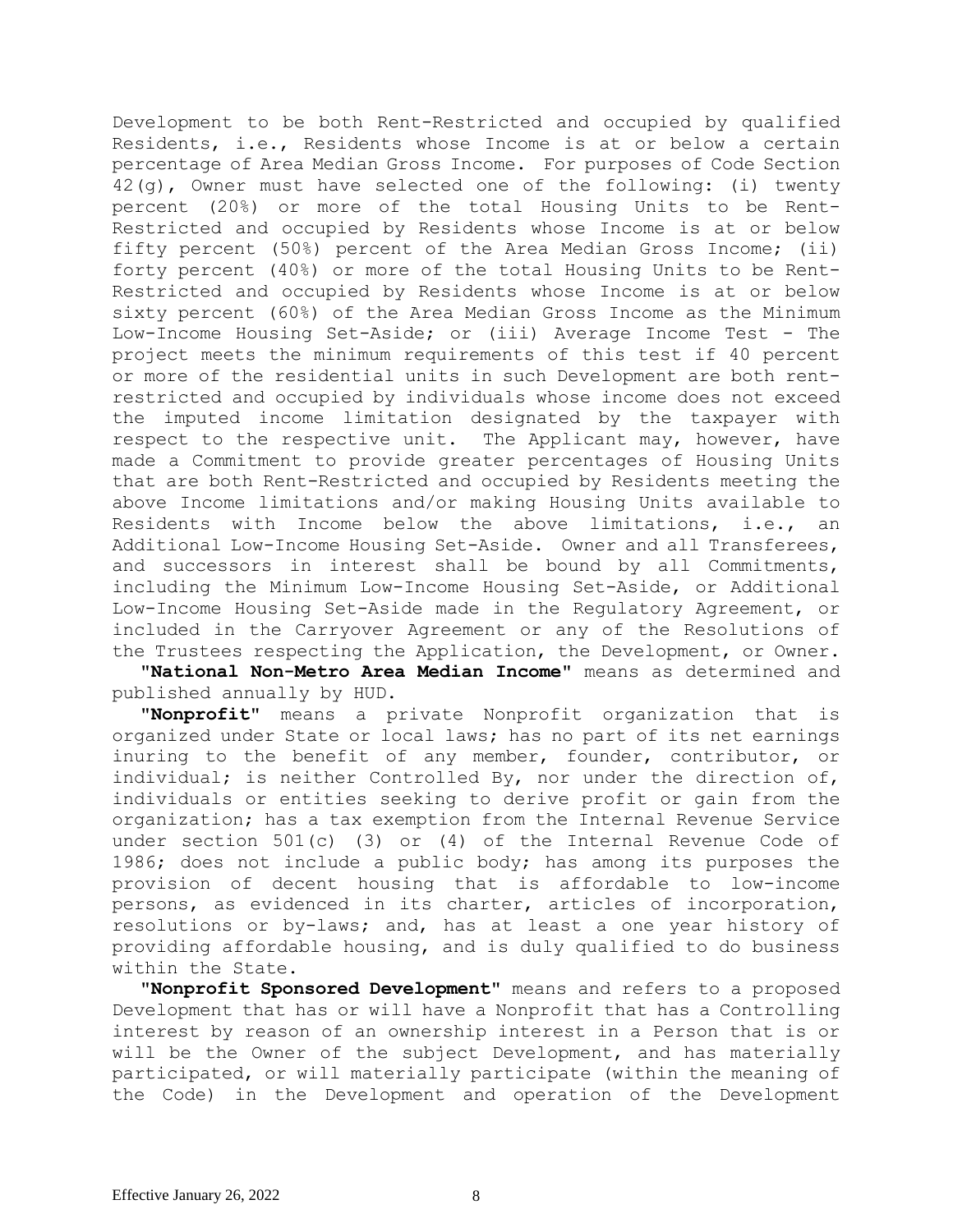Development to be both Rent-Restricted and occupied by qualified Residents, i.e., Residents whose Income is at or below a certain percentage of Area Median Gross Income. For purposes of Code Section 42(g), Owner must have selected one of the following: (i) twenty percent (20%) or more of the total Housing Units to be Rent-Restricted and occupied by Residents whose Income is at or below fifty percent (50%) percent of the Area Median Gross Income; (ii) forty percent (40%) or more of the total Housing Units to be Rent-Restricted and occupied by Residents whose Income is at or below sixty percent (60%) of the Area Median Gross Income as the Minimum Low-Income Housing Set-Aside; or (iii) Average Income Test - The project meets the minimum requirements of this test if 40 percent or more of the residential units in such Development are both rentrestricted and occupied by individuals whose income does not exceed the imputed income limitation designated by the taxpayer with respect to the respective unit. The Applicant may, however, have made a Commitment to provide greater percentages of Housing Units that are both Rent-Restricted and occupied by Residents meeting the above Income limitations and/or making Housing Units available to Residents with Income below the above limitations, i.e., an Additional Low-Income Housing Set-Aside. Owner and all Transferees, and successors in interest shall be bound by all Commitments, including the Minimum Low-Income Housing Set-Aside, or Additional Low-Income Housing Set-Aside made in the Regulatory Agreement, or included in the Carryover Agreement or any of the Resolutions of the Trustees respecting the Application, the Development, or Owner**.**

**"National Non-Metro Area Median Income"** means as determined and published annually by HUD.

**"Nonprofit"** means a private Nonprofit organization that is organized under State or local laws; has no part of its net earnings inuring to the benefit of any member, founder, contributor, or individual; is neither Controlled By, nor under the direction of, individuals or entities seeking to derive profit or gain from the organization; has a tax exemption from the Internal Revenue Service under section 501(c) (3) or (4) of the Internal Revenue Code of 1986; does not include a public body; has among its purposes the provision of decent housing that is affordable to low-income persons, as evidenced in its charter, articles of incorporation, resolutions or by-laws; and, has at least a one year history of providing affordable housing, and is duly qualified to do business within the State.

**"Nonprofit Sponsored Development"** means and refers to a proposed Development that has or will have a Nonprofit that has a Controlling interest by reason of an ownership interest in a Person that is or will be the Owner of the subject Development, and has materially participated, or will materially participate (within the meaning of the Code) in the Development and operation of the Development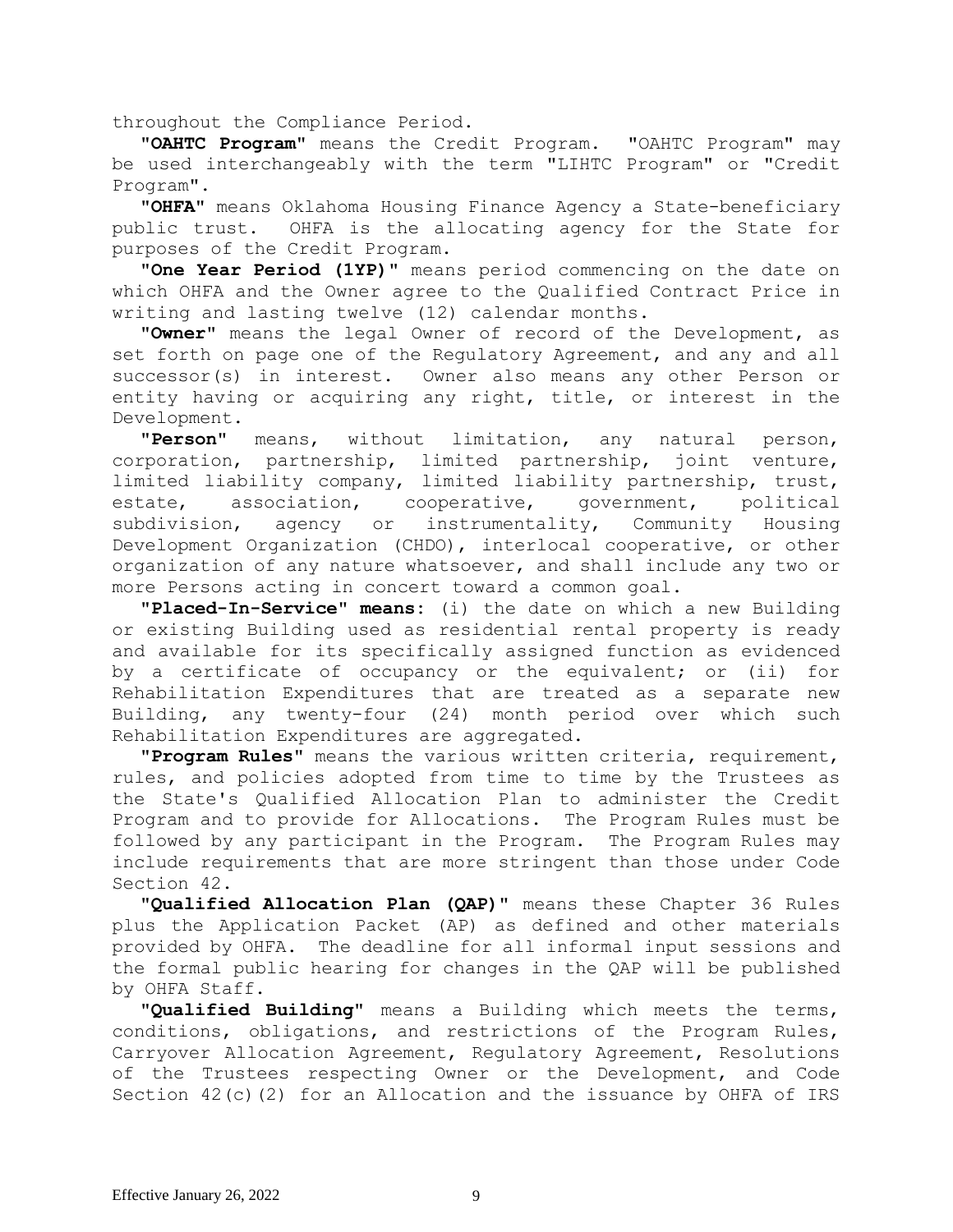throughout the Compliance Period.

**"OAHTC Program"** means the Credit Program. "OAHTC Program" may be used interchangeably with the term "LIHTC Program" or "Credit Program".

**"OHFA"** means Oklahoma Housing Finance Agency a State-beneficiary public trust. OHFA is the allocating agency for the State for purposes of the Credit Program.

**"One Year Period (1YP)"** means period commencing on the date on which OHFA and the Owner agree to the Qualified Contract Price in writing and lasting twelve (12) calendar months.

**"Owner"** means the legal Owner of record of the Development, as set forth on page one of the Regulatory Agreement, and any and all successor(s) in interest. Owner also means any other Person or entity having or acquiring any right, title, or interest in the Development.

**"Person"** means, without limitation, any natural person, corporation, partnership, limited partnership, joint venture, limited liability company, limited liability partnership, trust, estate, association, cooperative, government, political subdivision, agency or instrumentality, Community Housing Development Organization (CHDO), interlocal cooperative, or other organization of any nature whatsoever, and shall include any two or more Persons acting in concert toward a common goal.

**"Placed-In-Service" means:** (i) the date on which a new Building or existing Building used as residential rental property is ready and available for its specifically assigned function as evidenced by a certificate of occupancy or the equivalent; or (ii) for Rehabilitation Expenditures that are treated as a separate new Building, any twenty-four (24) month period over which such Rehabilitation Expenditures are aggregated.

**"Program Rules"** means the various written criteria, requirement, rules, and policies adopted from time to time by the Trustees as the State's Qualified Allocation Plan to administer the Credit Program and to provide for Allocations. The Program Rules must be followed by any participant in the Program. The Program Rules may include requirements that are more stringent than those under Code Section 42.

**"Qualified Allocation Plan (QAP)"** means these Chapter 36 Rules plus the Application Packet (AP) as defined and other materials provided by OHFA. The deadline for all informal input sessions and the formal public hearing for changes in the QAP will be published by OHFA Staff.

**"Qualified Building"** means a Building which meets the terms, conditions, obligations, and restrictions of the Program Rules, Carryover Allocation Agreement, Regulatory Agreement, Resolutions of the Trustees respecting Owner or the Development, and Code Section 42(c)(2) for an Allocation and the issuance by OHFA of IRS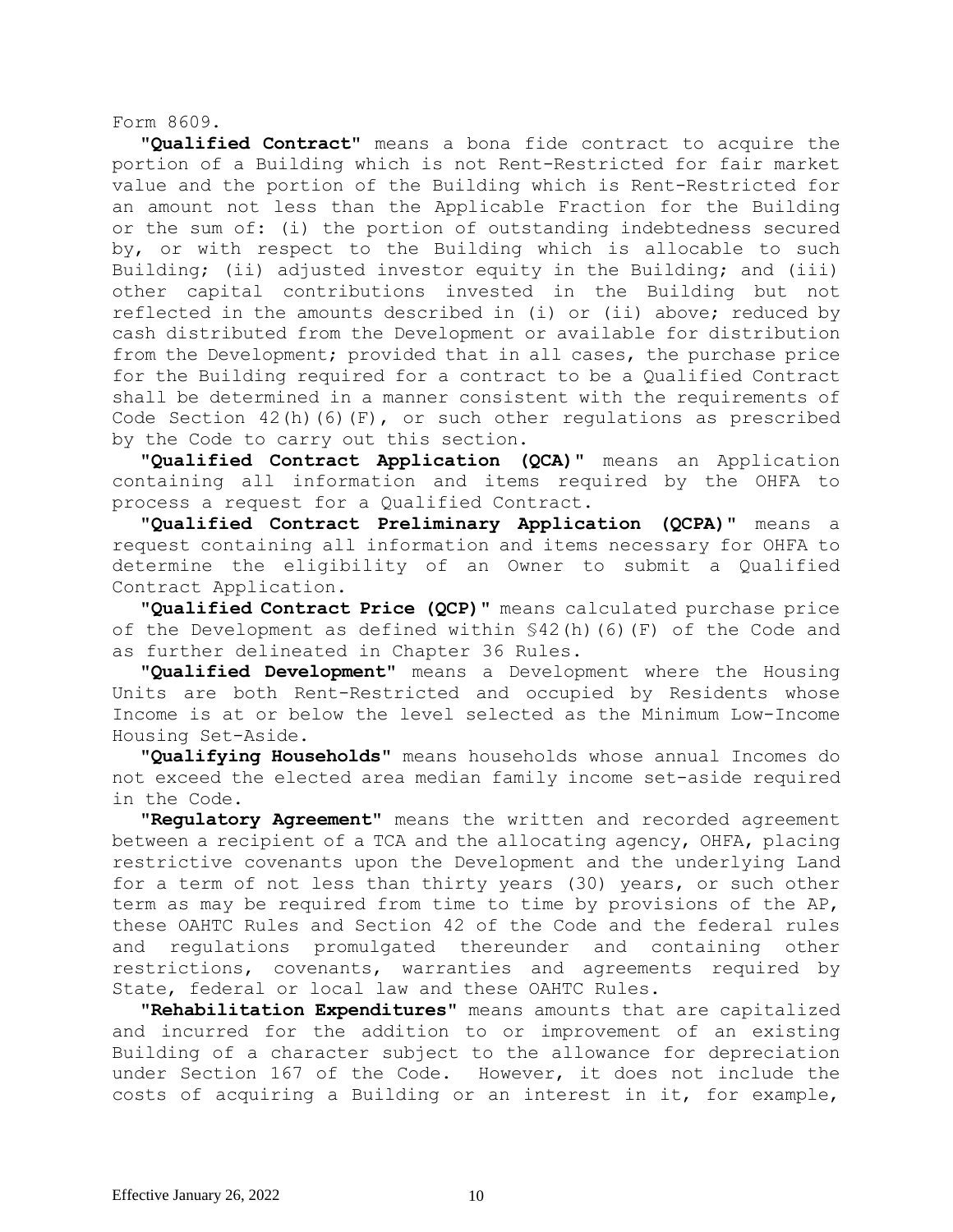Form 8609.

**"Qualified Contract"** means a bona fide contract to acquire the portion of a Building which is not Rent-Restricted for fair market value and the portion of the Building which is Rent-Restricted for an amount not less than the Applicable Fraction for the Building or the sum of: (i) the portion of outstanding indebtedness secured by, or with respect to the Building which is allocable to such Building; (ii) adjusted investor equity in the Building; and (iii) other capital contributions invested in the Building but not reflected in the amounts described in (i) or (ii) above; reduced by cash distributed from the Development or available for distribution from the Development; provided that in all cases, the purchase price for the Building required for a contract to be a Qualified Contract shall be determined in a manner consistent with the requirements of Code Section 42(h)(6)(F), or such other regulations as prescribed by the Code to carry out this section.

**"Qualified Contract Application (QCA)"** means an Application containing all information and items required by the OHFA to process a request for a Qualified Contract.

**"Qualified Contract Preliminary Application (QCPA)"** means a request containing all information and items necessary for OHFA to determine the eligibility of an Owner to submit a Qualified Contract Application.

**"Qualified Contract Price (QCP)"** means calculated purchase price of the Development as defined within §42(h)(6)(F) of the Code and as further delineated in Chapter 36 Rules.

**"Qualified Development"** means a Development where the Housing Units are both Rent-Restricted and occupied by Residents whose Income is at or below the level selected as the Minimum Low-Income Housing Set-Aside.

**"Qualifying Households"** means households whose annual Incomes do not exceed the elected area median family income set-aside required in the Code.

**"Regulatory Agreement"** means the written and recorded agreement between a recipient of a TCA and the allocating agency, OHFA, placing restrictive covenants upon the Development and the underlying Land for a term of not less than thirty years (30) years, or such other term as may be required from time to time by provisions of the AP, these OAHTC Rules and Section 42 of the Code and the federal rules and regulations promulgated thereunder and containing other restrictions, covenants, warranties and agreements required by State, federal or local law and these OAHTC Rules.

**"Rehabilitation Expenditures"** means amounts that are capitalized and incurred for the addition to or improvement of an existing Building of a character subject to the allowance for depreciation under Section 167 of the Code. However, it does not include the costs of acquiring a Building or an interest in it, for example,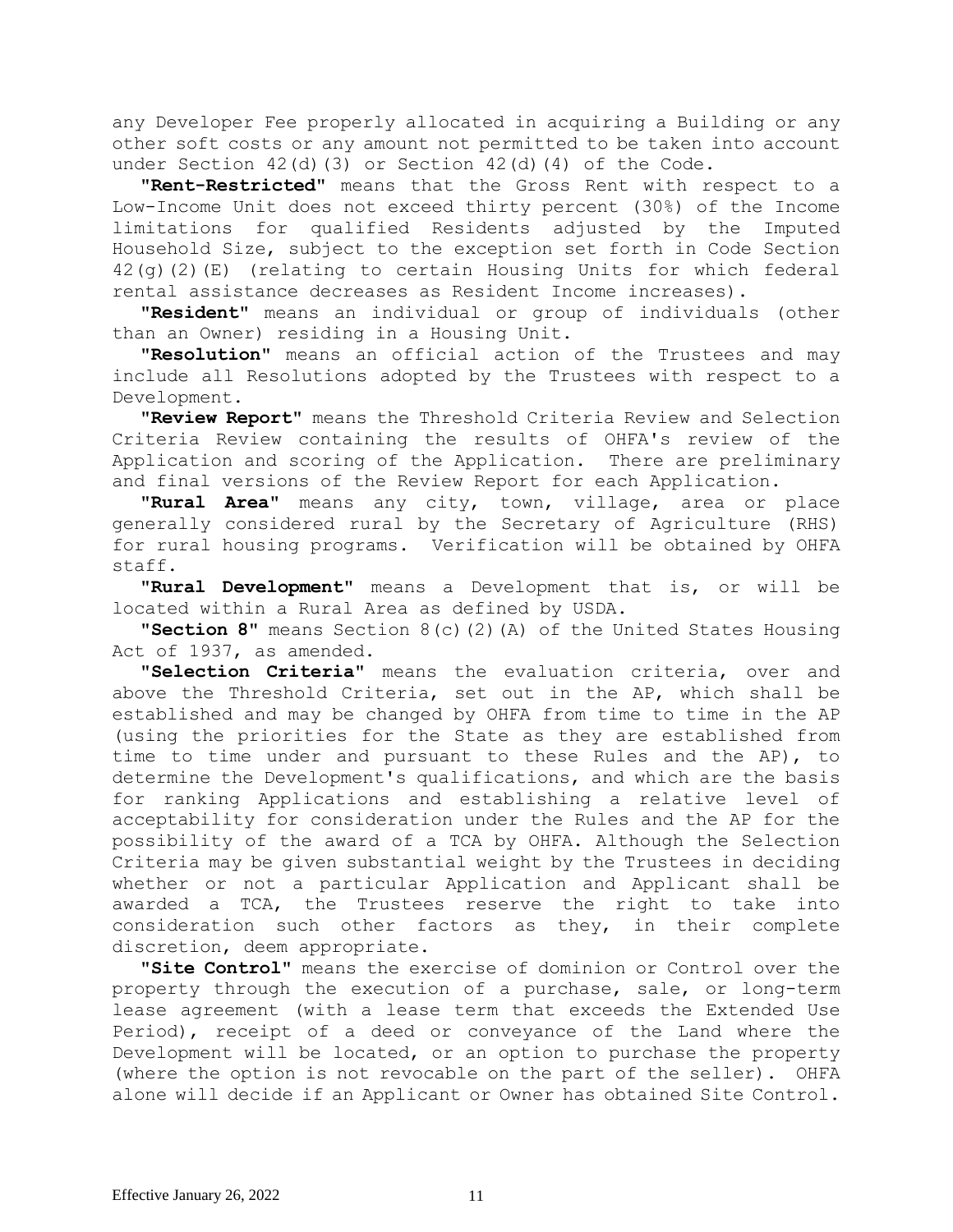any Developer Fee properly allocated in acquiring a Building or any other soft costs or any amount not permitted to be taken into account under Section  $42(d)(3)$  or Section  $42(d)(4)$  of the Code.

**"Rent-Restricted"** means that the Gross Rent with respect to a Low-Income Unit does not exceed thirty percent (30%) of the Income limitations for qualified Residents adjusted by the Imputed Household Size, subject to the exception set forth in Code Section 42(g)(2)(E) (relating to certain Housing Units for which federal rental assistance decreases as Resident Income increases).

**"Resident"** means an individual or group of individuals (other than an Owner) residing in a Housing Unit.

**"Resolution"** means an official action of the Trustees and may include all Resolutions adopted by the Trustees with respect to a Development.

**"Review Report"** means the Threshold Criteria Review and Selection Criteria Review containing the results of OHFA's review of the Application and scoring of the Application. There are preliminary and final versions of the Review Report for each Application.

**"Rural Area"** means any city, town, village, area or place generally considered rural by the Secretary of Agriculture (RHS) for rural housing programs. Verification will be obtained by OHFA staff.

**"Rural Development"** means a Development that is, or will be located within a Rural Area as defined by USDA.

**"Section 8"** means Section 8(c)(2)(A) of the United States Housing Act of 1937, as amended.

**"Selection Criteria"** means the evaluation criteria, over and above the Threshold Criteria, set out in the AP, which shall be established and may be changed by OHFA from time to time in the AP (using the priorities for the State as they are established from time to time under and pursuant to these Rules and the AP), to determine the Development's qualifications, and which are the basis for ranking Applications and establishing a relative level of acceptability for consideration under the Rules and the AP for the possibility of the award of a TCA by OHFA. Although the Selection Criteria may be given substantial weight by the Trustees in deciding whether or not a particular Application and Applicant shall be awarded a TCA, the Trustees reserve the right to take into consideration such other factors as they, in their complete discretion, deem appropriate.

**"Site Control"** means the exercise of dominion or Control over the property through the execution of a purchase, sale, or long-term lease agreement (with a lease term that exceeds the Extended Use Period), receipt of a deed or conveyance of the Land where the Development will be located, or an option to purchase the property (where the option is not revocable on the part of the seller). OHFA alone will decide if an Applicant or Owner has obtained Site Control.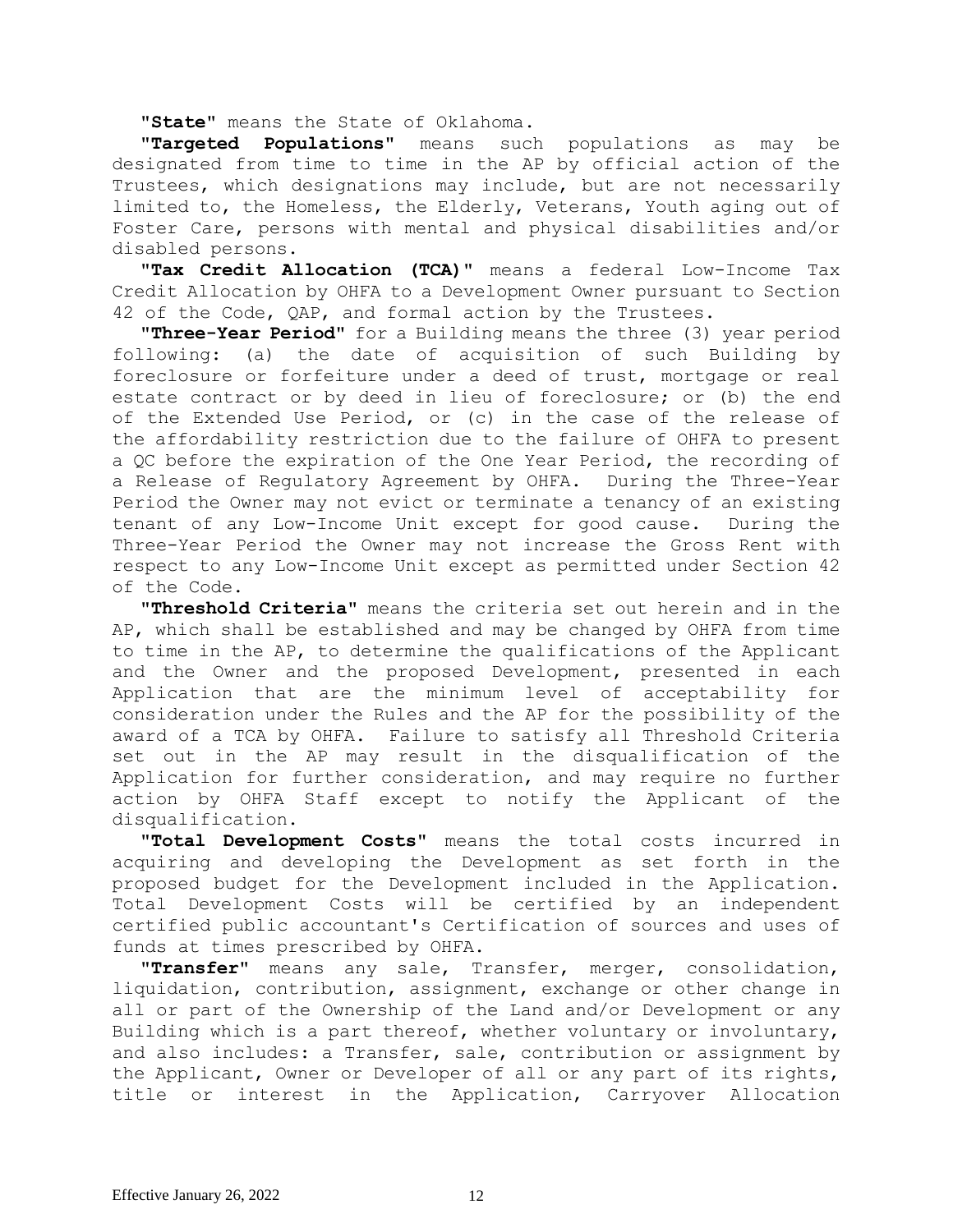**"State"** means the State of Oklahoma**.**

**"Targeted Populations"** means such populations as may be designated from time to time in the AP by official action of the Trustees, which designations may include, but are not necessarily limited to, the Homeless, the Elderly, Veterans, Youth aging out of Foster Care, persons with mental and physical disabilities and/or disabled persons.

**"Tax Credit Allocation (TCA)"** means a federal Low-Income Tax Credit Allocation by OHFA to a Development Owner pursuant to Section 42 of the Code, QAP, and formal action by the Trustees.

**"Three-Year Period"** for a Building means the three (3) year period following: (a) the date of acquisition of such Building by foreclosure or forfeiture under a deed of trust, mortgage or real estate contract or by deed in lieu of foreclosure; or (b) the end of the Extended Use Period, or (c) in the case of the release of the affordability restriction due to the failure of OHFA to present a QC before the expiration of the One Year Period, the recording of a Release of Regulatory Agreement by OHFA. During the Three-Year Period the Owner may not evict or terminate a tenancy of an existing tenant of any Low-Income Unit except for good cause. During the Three-Year Period the Owner may not increase the Gross Rent with respect to any Low-Income Unit except as permitted under Section 42 of the Code.

**"Threshold Criteria"** means the criteria set out herein and in the AP, which shall be established and may be changed by OHFA from time to time in the AP, to determine the qualifications of the Applicant and the Owner and the proposed Development, presented in each Application that are the minimum level of acceptability for consideration under the Rules and the AP for the possibility of the award of a TCA by OHFA. Failure to satisfy all Threshold Criteria set out in the AP may result in the disqualification of the Application for further consideration, and may require no further action by OHFA Staff except to notify the Applicant of the disqualification.

**"Total Development Costs"** means the total costs incurred in acquiring and developing the Development as set forth in the proposed budget for the Development included in the Application. Total Development Costs will be certified by an independent certified public accountant's Certification of sources and uses of funds at times prescribed by OHFA.

**"Transfer"** means any sale, Transfer, merger, consolidation, liquidation, contribution, assignment, exchange or other change in all or part of the Ownership of the Land and/or Development or any Building which is a part thereof, whether voluntary or involuntary, and also includes: a Transfer, sale, contribution or assignment by the Applicant, Owner or Developer of all or any part of its rights, title or interest in the Application, Carryover Allocation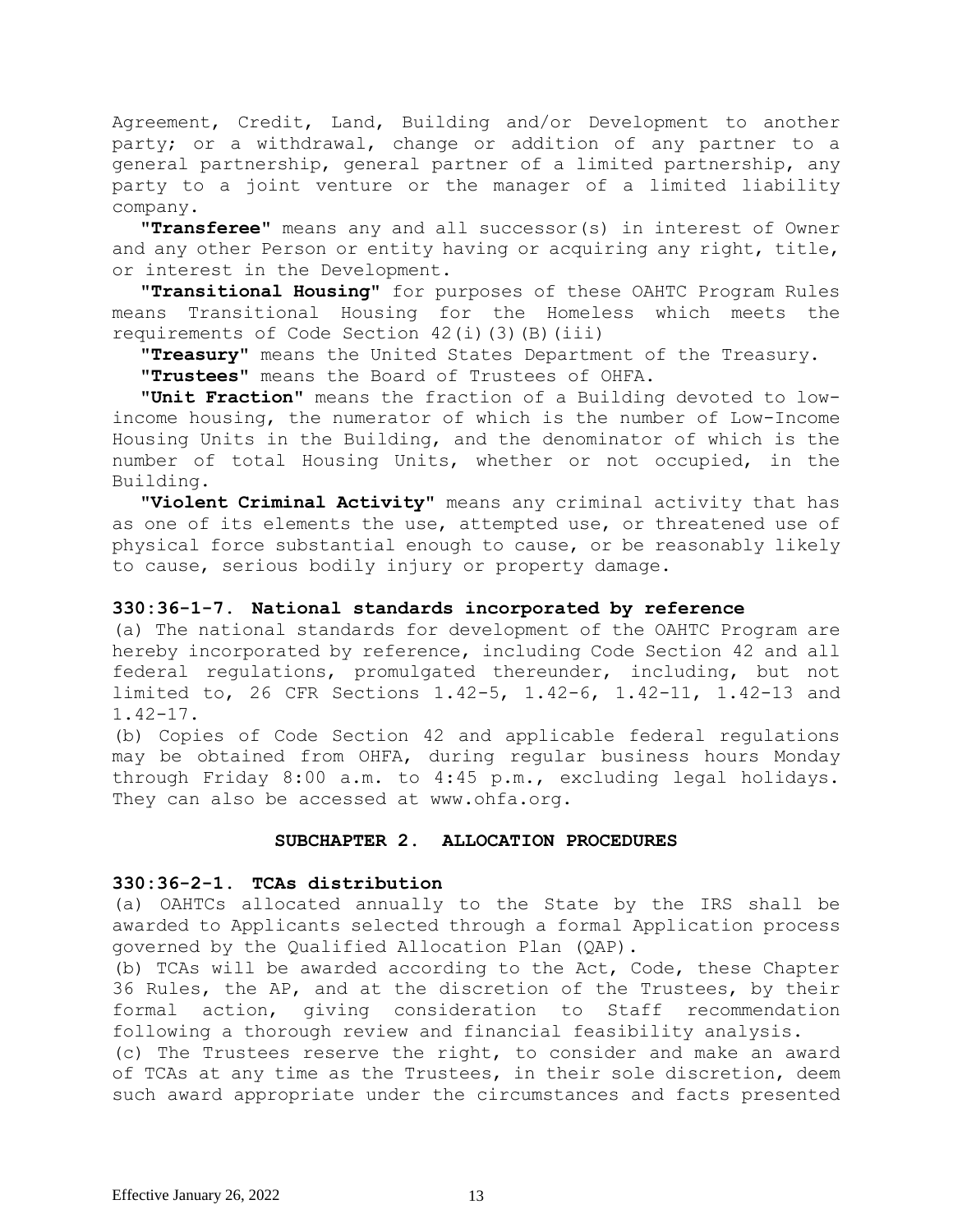Agreement, Credit, Land, Building and/or Development to another party; or a withdrawal, change or addition of any partner to a general partnership, general partner of a limited partnership, any party to a joint venture or the manager of a limited liability company.

**"Transferee"** means any and all successor(s) in interest of Owner and any other Person or entity having or acquiring any right, title, or interest in the Development.

**"Transitional Housing"** for purposes of these OAHTC Program Rules means Transitional Housing for the Homeless which meets the requirements of Code Section 42(i)(3)(B)(iii)

**"Treasury"** means the United States Department of the Treasury.

**"Trustees"** means the Board of Trustees of OHFA.

**"Unit Fraction"** means the fraction of a Building devoted to lowincome housing, the numerator of which is the number of Low-Income Housing Units in the Building, and the denominator of which is the number of total Housing Units, whether or not occupied, in the Building.

**"Violent Criminal Activity"** means any criminal activity that has as one of its elements the use, attempted use, or threatened use of physical force substantial enough to cause, or be reasonably likely to cause, serious bodily injury or property damage.

## **330:36-1-7. National standards incorporated by reference**

(a) The national standards for development of the OAHTC Program are hereby incorporated by reference, including Code Section 42 and all federal regulations, promulgated thereunder, including, but not limited to, 26 CFR Sections 1.42-5, 1.42-6, 1.42-11, 1.42-13 and 1.42-17.

(b) Copies of Code Section 42 and applicable federal regulations may be obtained from OHFA, during regular business hours Monday through Friday 8:00 a.m. to 4:45 p.m., excluding legal holidays. They can also be accessed at www.ohfa.org.

## **SUBCHAPTER 2. ALLOCATION PROCEDURES**

## **330:36-2-1. TCAs distribution**

(a) OAHTCs allocated annually to the State by the IRS shall be awarded to Applicants selected through a formal Application process governed by the Qualified Allocation Plan (QAP).

(b) TCAs will be awarded according to the Act, Code, these Chapter 36 Rules, the AP, and at the discretion of the Trustees, by their formal action, giving consideration to Staff recommendation following a thorough review and financial feasibility analysis.

(c) The Trustees reserve the right, to consider and make an award of TCAs at any time as the Trustees, in their sole discretion, deem such award appropriate under the circumstances and facts presented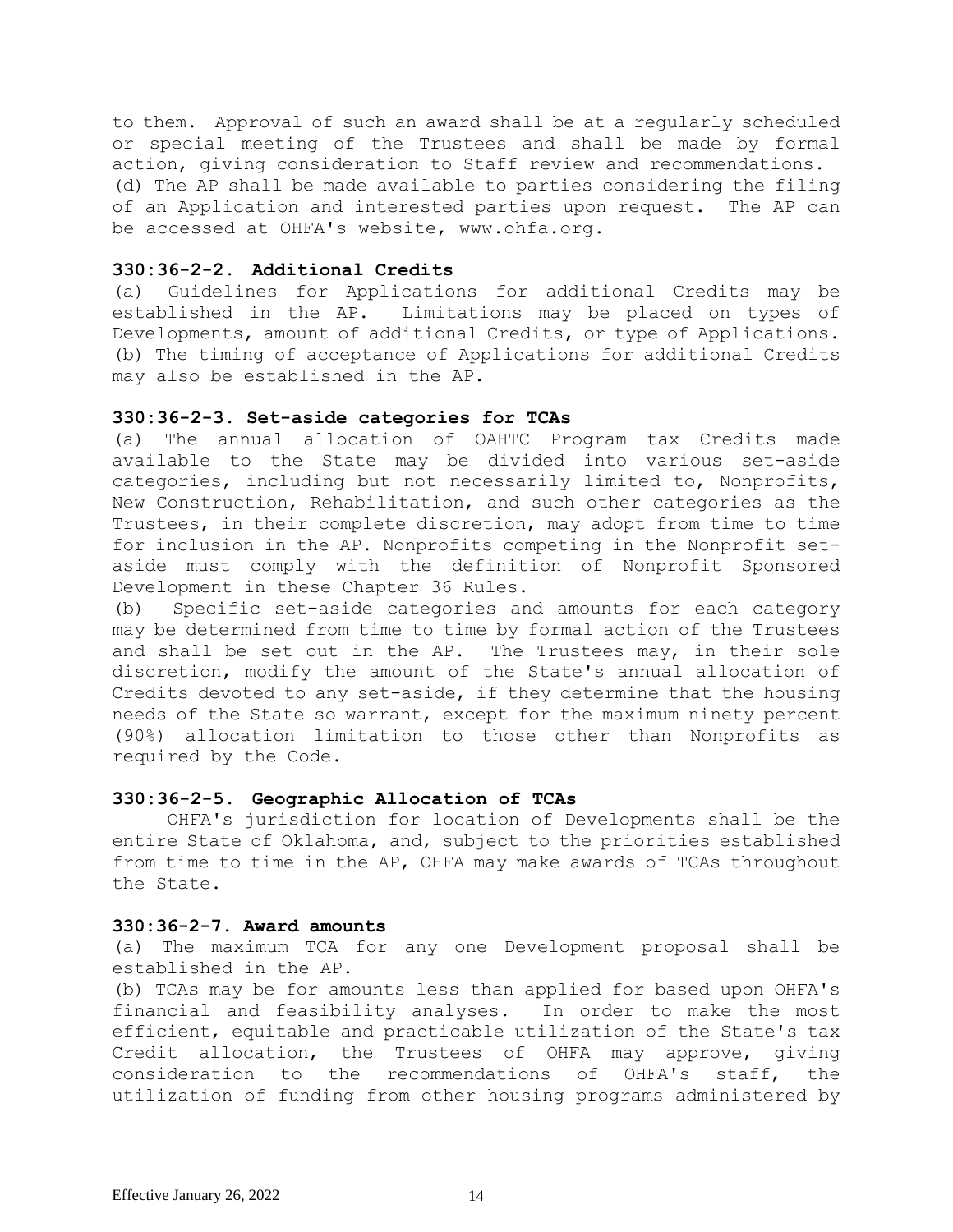to them. Approval of such an award shall be at a regularly scheduled or special meeting of the Trustees and shall be made by formal action, giving consideration to Staff review and recommendations. (d) The AP shall be made available to parties considering the filing of an Application and interested parties upon request. The AP can be accessed at OHFA's website, www.ohfa.org.

### **330:36-2-2. Additional Credits**

(a) Guidelines for Applications for additional Credits may be established in the AP. Limitations may be placed on types of Developments, amount of additional Credits, or type of Applications. (b) The timing of acceptance of Applications for additional Credits may also be established in the AP.

#### **330:36-2-3. Set-aside categories for TCAs**

(a) The annual allocation of OAHTC Program tax Credits made available to the State may be divided into various set-aside categories, including but not necessarily limited to, Nonprofits, New Construction, Rehabilitation, and such other categories as the Trustees, in their complete discretion, may adopt from time to time for inclusion in the AP. Nonprofits competing in the Nonprofit setaside must comply with the definition of Nonprofit Sponsored Development in these Chapter 36 Rules.

(b) Specific set-aside categories and amounts for each category may be determined from time to time by formal action of the Trustees and shall be set out in the AP. The Trustees may, in their sole discretion, modify the amount of the State's annual allocation of Credits devoted to any set-aside, if they determine that the housing needs of the State so warrant, except for the maximum ninety percent (90%) allocation limitation to those other than Nonprofits as required by the Code.

## **330:36-2-5. Geographic Allocation of TCAs**

 OHFA's jurisdiction for location of Developments shall be the entire State of Oklahoma, and, subject to the priorities established from time to time in the AP, OHFA may make awards of TCAs throughout the State.

### **330:36-2-7. Award amounts**

(a) The maximum TCA for any one Development proposal shall be established in the AP.

(b) TCAs may be for amounts less than applied for based upon OHFA's financial and feasibility analyses. In order to make the most efficient, equitable and practicable utilization of the State's tax Credit allocation, the Trustees of OHFA may approve, giving consideration to the recommendations of OHFA's staff, the utilization of funding from other housing programs administered by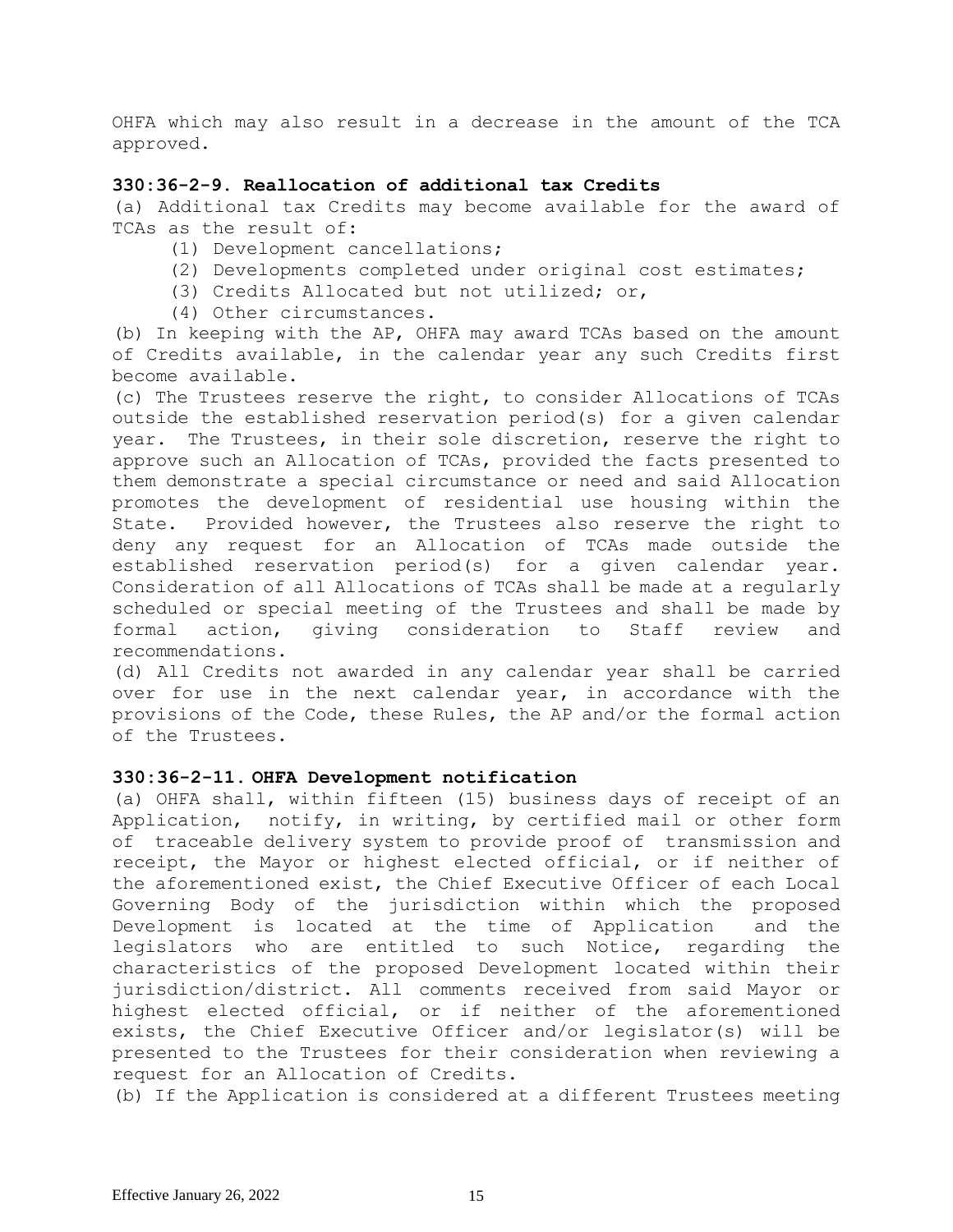OHFA which may also result in a decrease in the amount of the TCA approved.

## **330:36-2-9. Reallocation of additional tax Credits**

(a) Additional tax Credits may become available for the award of TCAs as the result of:

- (1) Development cancellations;
- (2) Developments completed under original cost estimates;
- (3) Credits Allocated but not utilized; or,
- (4) Other circumstances.

(b) In keeping with the AP, OHFA may award TCAs based on the amount of Credits available, in the calendar year any such Credits first become available.

(c) The Trustees reserve the right, to consider Allocations of TCAs outside the established reservation period(s) for a given calendar year. The Trustees, in their sole discretion, reserve the right to approve such an Allocation of TCAs, provided the facts presented to them demonstrate a special circumstance or need and said Allocation promotes the development of residential use housing within the State. Provided however, the Trustees also reserve the right to deny any request for an Allocation of TCAs made outside the established reservation period(s) for a given calendar year. Consideration of all Allocations of TCAs shall be made at a regularly scheduled or special meeting of the Trustees and shall be made by formal action, giving consideration to Staff review and recommendations.

(d) All Credits not awarded in any calendar year shall be carried over for use in the next calendar year, in accordance with the provisions of the Code, these Rules, the AP and/or the formal action of the Trustees.

## **330:36-2-11. OHFA Development notification**

(a) OHFA shall, within fifteen (15) business days of receipt of an Application, notify, in writing, by certified mail or other form of traceable delivery system to provide proof of transmission and receipt, the Mayor or highest elected official, or if neither of the aforementioned exist, the Chief Executive Officer of each Local Governing Body of the jurisdiction within which the proposed Development is located at the time of Application and the legislators who are entitled to such Notice, regarding the characteristics of the proposed Development located within their jurisdiction/district. All comments received from said Mayor or highest elected official, or if neither of the aforementioned exists, the Chief Executive Officer and/or legislator(s) will be presented to the Trustees for their consideration when reviewing a request for an Allocation of Credits.

(b) If the Application is considered at a different Trustees meeting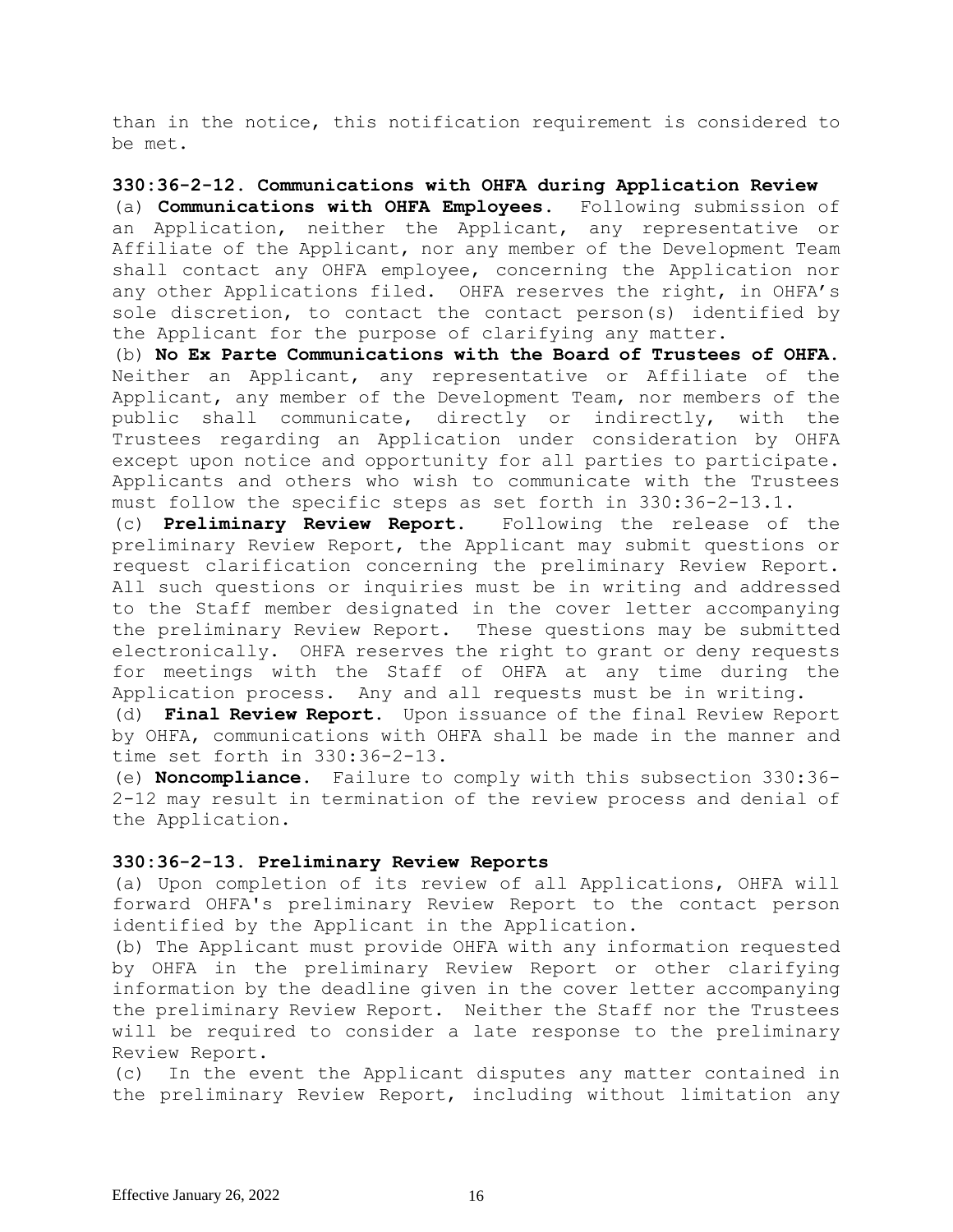than in the notice, this notification requirement is considered to be met.

## **330:36-2-12. Communications with OHFA during Application Review**

(a) **Communications with OHFA Employees.** Following submission of an Application, neither the Applicant, any representative or Affiliate of the Applicant, nor any member of the Development Team shall contact any OHFA employee, concerning the Application nor any other Applications filed. OHFA reserves the right, in OHFA's sole discretion, to contact the contact person(s) identified by the Applicant for the purpose of clarifying any matter.

(b) **No Ex Parte Communications with the Board of Trustees of OHFA.** Neither an Applicant, any representative or Affiliate of the Applicant, any member of the Development Team, nor members of the public shall communicate, directly or indirectly, with the Trustees regarding an Application under consideration by OHFA except upon notice and opportunity for all parties to participate. Applicants and others who wish to communicate with the Trustees must follow the specific steps as set forth in 330:36-2-13.1.

(c) **Preliminary Review Report.** Following the release of the preliminary Review Report, the Applicant may submit questions or request clarification concerning the preliminary Review Report. All such questions or inquiries must be in writing and addressed to the Staff member designated in the cover letter accompanying the preliminary Review Report. These questions may be submitted electronically. OHFA reserves the right to grant or deny requests for meetings with the Staff of OHFA at any time during the Application process. Any and all requests must be in writing.

(d) **Final Review Report.** Upon issuance of the final Review Report by OHFA, communications with OHFA shall be made in the manner and time set forth in 330:36-2-13.

(e) **Noncompliance.** Failure to comply with this subsection 330:36- 2-12 may result in termination of the review process and denial of the Application.

## **330:36-2-13. Preliminary Review Reports**

(a) Upon completion of its review of all Applications, OHFA will forward OHFA's preliminary Review Report to the contact person identified by the Applicant in the Application.

(b) The Applicant must provide OHFA with any information requested by OHFA in the preliminary Review Report or other clarifying information by the deadline given in the cover letter accompanying the preliminary Review Report. Neither the Staff nor the Trustees will be required to consider a late response to the preliminary Review Report.

(c) In the event the Applicant disputes any matter contained in the preliminary Review Report, including without limitation any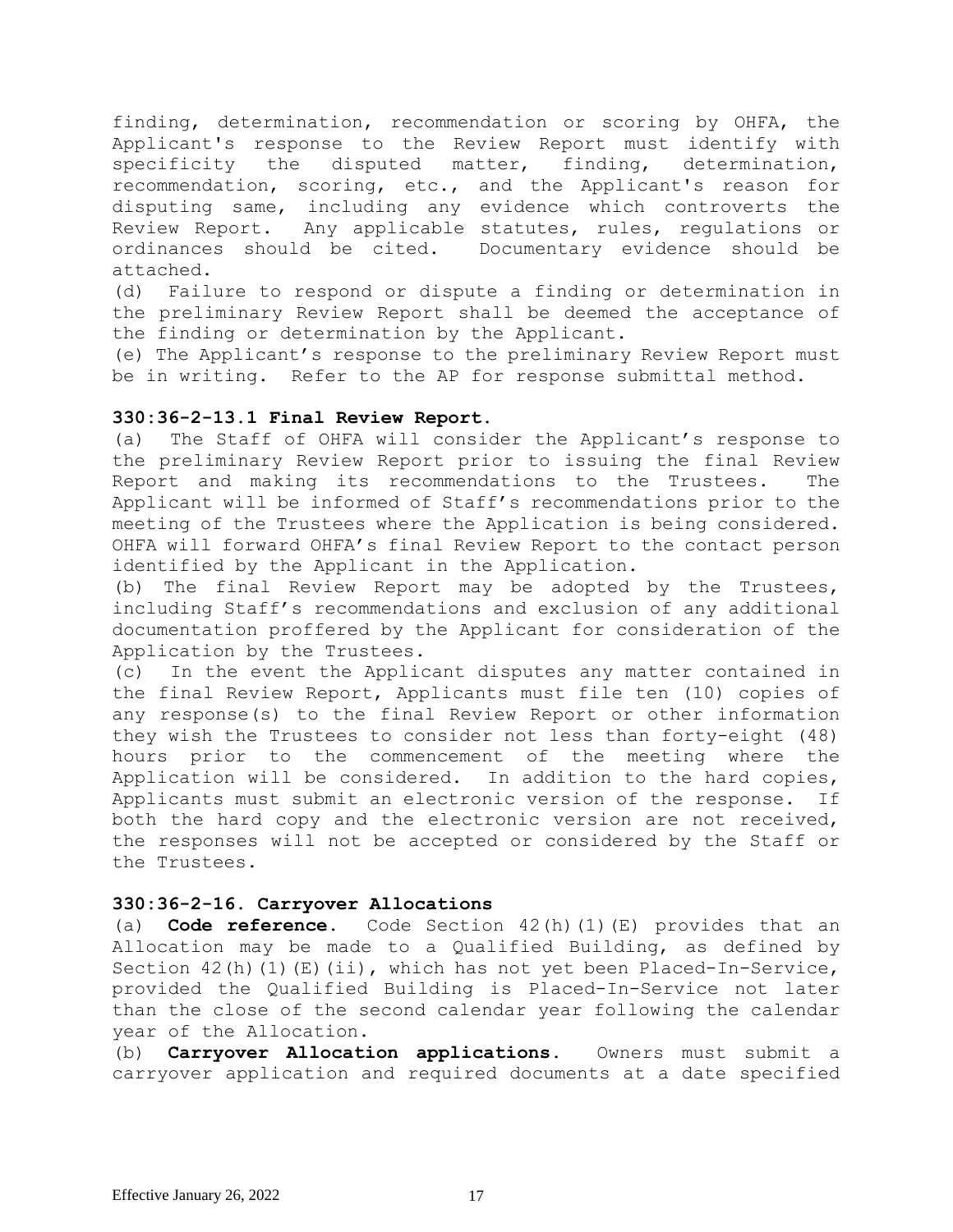finding, determination, recommendation or scoring by OHFA, the Applicant's response to the Review Report must identify with specificity the disputed matter, finding, determination, recommendation, scoring, etc., and the Applicant's reason for disputing same, including any evidence which controverts the Review Report. Any applicable statutes, rules, regulations or ordinances should be cited. Documentary evidence should be attached.

(d) Failure to respond or dispute a finding or determination in the preliminary Review Report shall be deemed the acceptance of the finding or determination by the Applicant.

(e) The Applicant's response to the preliminary Review Report must be in writing. Refer to the AP for response submittal method.

## **330:36-2-13.1 Final Review Report.**

(a) The Staff of OHFA will consider the Applicant's response to the preliminary Review Report prior to issuing the final Review Report and making its recommendations to the Trustees. The Applicant will be informed of Staff's recommendations prior to the meeting of the Trustees where the Application is being considered. OHFA will forward OHFA's final Review Report to the contact person identified by the Applicant in the Application.

(b) The final Review Report may be adopted by the Trustees, including Staff's recommendations and exclusion of any additional documentation proffered by the Applicant for consideration of the Application by the Trustees.

(c) In the event the Applicant disputes any matter contained in the final Review Report, Applicants must file ten (10) copies of any response(s) to the final Review Report or other information they wish the Trustees to consider not less than forty-eight (48) hours prior to the commencement of the meeting where the Application will be considered. In addition to the hard copies, Applicants must submit an electronic version of the response. If both the hard copy and the electronic version are not received, the responses will not be accepted or considered by the Staff or the Trustees.

## **330:36-2-16. Carryover Allocations**

(a) **Code reference.** Code Section 42(h)(1)(E) provides that an Allocation may be made to a Qualified Building, as defined by Section 42(h)(1)(E)(ii), which has not yet been Placed-In-Service, provided the Qualified Building is Placed-In-Service not later than the close of the second calendar year following the calendar year of the Allocation.

(b) **Carryover Allocation applications.** Owners must submit a carryover application and required documents at a date specified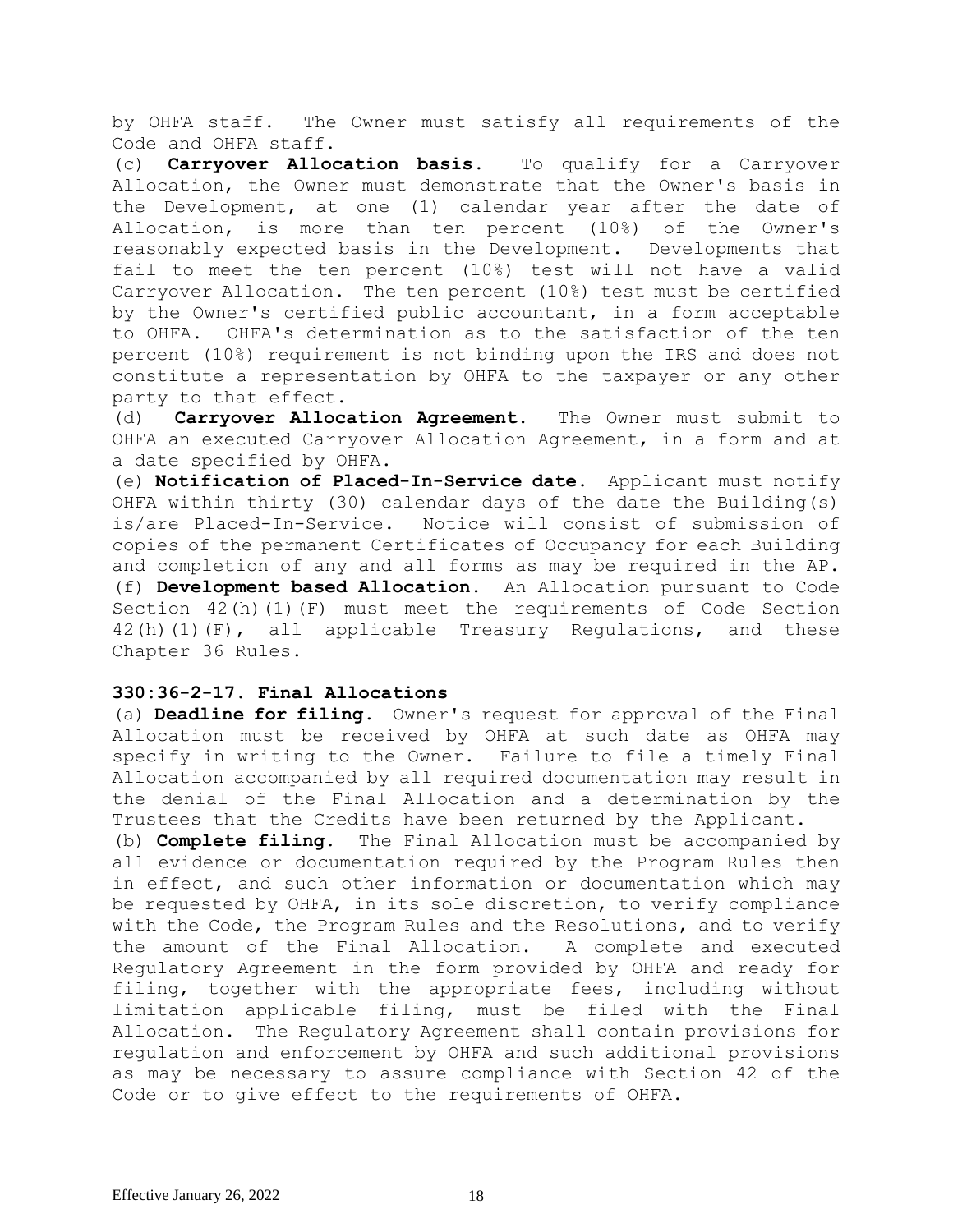by OHFA staff. The Owner must satisfy all requirements of the Code and OHFA staff.

(c) **Carryover Allocation basis.** To qualify for a Carryover Allocation, the Owner must demonstrate that the Owner's basis in the Development, at one (1) calendar year after the date of Allocation, is more than ten percent (10%) of the Owner's reasonably expected basis in the Development. Developments that fail to meet the ten percent (10%) test will not have a valid Carryover Allocation. The ten percent (10%) test must be certified by the Owner's certified public accountant, in a form acceptable to OHFA. OHFA's determination as to the satisfaction of the ten percent (10%) requirement is not binding upon the IRS and does not constitute a representation by OHFA to the taxpayer or any other party to that effect.

(d) **Carryover Allocation Agreement.** The Owner must submit to OHFA an executed Carryover Allocation Agreement, in a form and at a date specified by OHFA.

(e) **Notification of Placed-In-Service date.** Applicant must notify OHFA within thirty (30) calendar days of the date the Building(s) is/are Placed-In-Service. Notice will consist of submission of copies of the permanent Certificates of Occupancy for each Building and completion of any and all forms as may be required in the AP. (f) **Development based Allocation.** An Allocation pursuant to Code Section 42(h)(1)(F) must meet the requirements of Code Section  $42(h)(1)(F)$ , all applicable Treasury Regulations, and these Chapter 36 Rules.

## **330:36-2-17. Final Allocations**

(a) **Deadline for filing.** Owner's request for approval of the Final Allocation must be received by OHFA at such date as OHFA may specify in writing to the Owner. Failure to file a timely Final Allocation accompanied by all required documentation may result in the denial of the Final Allocation and a determination by the Trustees that the Credits have been returned by the Applicant.

(b) **Complete filing.** The Final Allocation must be accompanied by all evidence or documentation required by the Program Rules then in effect, and such other information or documentation which may be requested by OHFA, in its sole discretion, to verify compliance with the Code, the Program Rules and the Resolutions, and to verify the amount of the Final Allocation. A complete and executed Regulatory Agreement in the form provided by OHFA and ready for filing, together with the appropriate fees, including without limitation applicable filing, must be filed with the Final Allocation. The Regulatory Agreement shall contain provisions for regulation and enforcement by OHFA and such additional provisions as may be necessary to assure compliance with Section 42 of the Code or to give effect to the requirements of OHFA.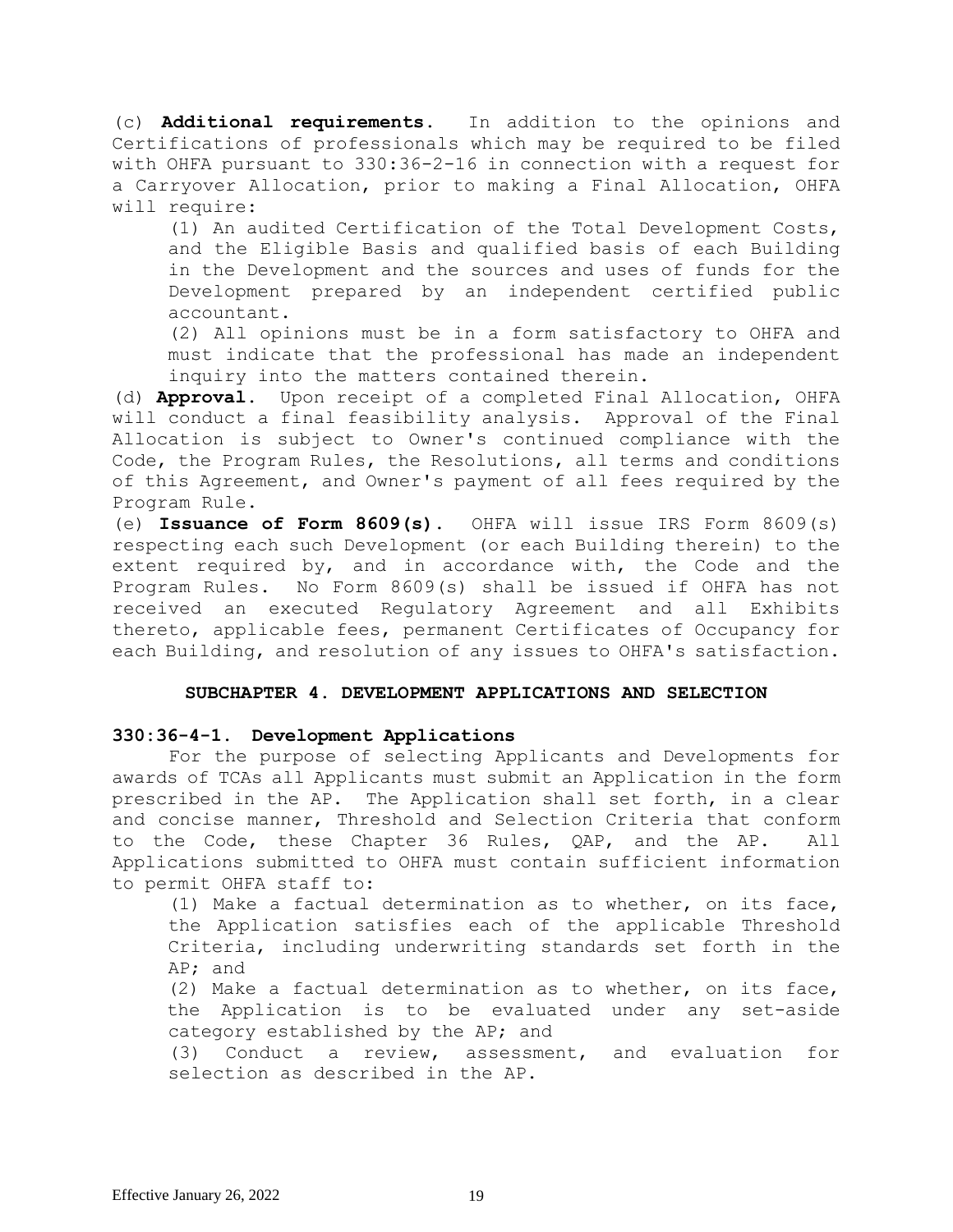(c) **Additional requirements.** In addition to the opinions and Certifications of professionals which may be required to be filed with OHFA pursuant to 330:36-2-16 in connection with a request for a Carryover Allocation, prior to making a Final Allocation, OHFA will require:

(1) An audited Certification of the Total Development Costs, and the Eligible Basis and qualified basis of each Building in the Development and the sources and uses of funds for the Development prepared by an independent certified public accountant.

(2) All opinions must be in a form satisfactory to OHFA and must indicate that the professional has made an independent inquiry into the matters contained therein.

(d) **Approval.** Upon receipt of a completed Final Allocation, OHFA will conduct a final feasibility analysis. Approval of the Final Allocation is subject to Owner's continued compliance with the Code, the Program Rules, the Resolutions, all terms and conditions of this Agreement, and Owner's payment of all fees required by the Program Rule.

(e) **Issuance of Form 8609(s).** OHFA will issue IRS Form 8609(s) respecting each such Development (or each Building therein) to the extent required by, and in accordance with, the Code and the Program Rules. No Form 8609(s) shall be issued if OHFA has not received an executed Regulatory Agreement and all Exhibits thereto, applicable fees, permanent Certificates of Occupancy for each Building, and resolution of any issues to OHFA's satisfaction.

## **SUBCHAPTER 4. DEVELOPMENT APPLICATIONS AND SELECTION**

# **330:36-4-1. Development Applications**

 For the purpose of selecting Applicants and Developments for awards of TCAs all Applicants must submit an Application in the form prescribed in the AP. The Application shall set forth, in a clear and concise manner, Threshold and Selection Criteria that conform to the Code, these Chapter 36 Rules, QAP, and the AP. All Applications submitted to OHFA must contain sufficient information to permit OHFA staff to:

(1) Make a factual determination as to whether, on its face, the Application satisfies each of the applicable Threshold Criteria, including underwriting standards set forth in the AP; and

(2) Make a factual determination as to whether, on its face, the Application is to be evaluated under any set-aside category established by the AP; and

(3) Conduct a review, assessment, and evaluation for selection as described in the AP.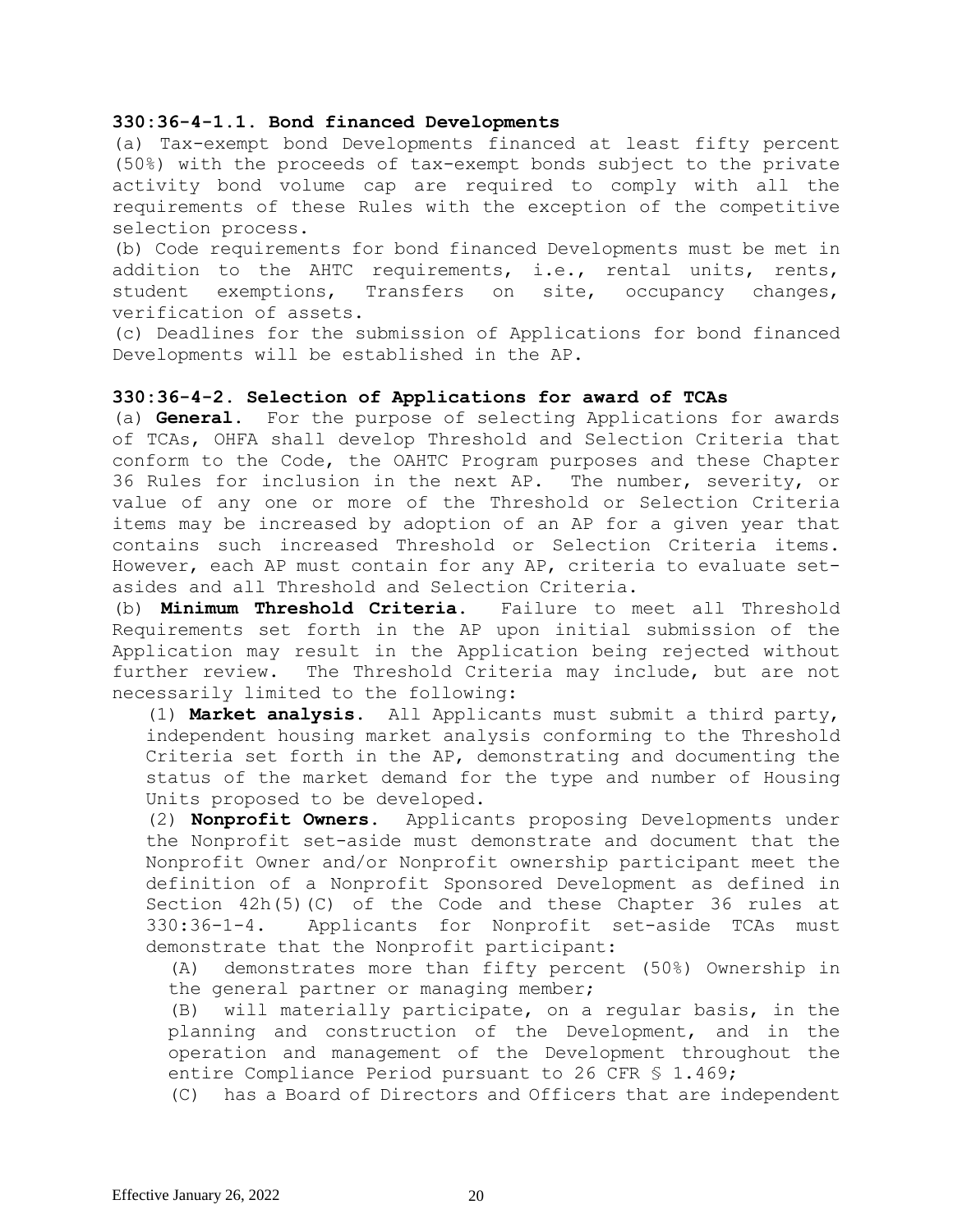### **330:36-4-1.1. Bond financed Developments**

(a) Tax-exempt bond Developments financed at least fifty percent (50%) with the proceeds of tax-exempt bonds subject to the private activity bond volume cap are required to comply with all the requirements of these Rules with the exception of the competitive selection process.

(b) Code requirements for bond financed Developments must be met in addition to the AHTC requirements, i.e., rental units, rents, student exemptions, Transfers on site, occupancy changes, verification of assets.

(c) Deadlines for the submission of Applications for bond financed Developments will be established in the AP.

### **330:36-4-2. Selection of Applications for award of TCAs**

(a) **General.** For the purpose of selecting Applications for awards of TCAs, OHFA shall develop Threshold and Selection Criteria that conform to the Code, the OAHTC Program purposes and these Chapter 36 Rules for inclusion in the next AP. The number, severity, or value of any one or more of the Threshold or Selection Criteria items may be increased by adoption of an AP for a given year that contains such increased Threshold or Selection Criteria items. However, each AP must contain for any AP, criteria to evaluate setasides and all Threshold and Selection Criteria.

(b) **Minimum Threshold Criteria.** Failure to meet all Threshold Requirements set forth in the AP upon initial submission of the Application may result in the Application being rejected without further review. The Threshold Criteria may include, but are not necessarily limited to the following:

(1) **Market analysis.** All Applicants must submit a third party, independent housing market analysis conforming to the Threshold Criteria set forth in the AP, demonstrating and documenting the status of the market demand for the type and number of Housing Units proposed to be developed.

(2) **Nonprofit Owners.** Applicants proposing Developments under the Nonprofit set-aside must demonstrate and document that the Nonprofit Owner and/or Nonprofit ownership participant meet the definition of a Nonprofit Sponsored Development as defined in Section 42h(5)(C) of the Code and these Chapter 36 rules at 330:36-1-4. Applicants for Nonprofit set-aside TCAs must demonstrate that the Nonprofit participant:

(A) demonstrates more than fifty percent (50%) Ownership in the general partner or managing member;

(B) will materially participate, on a regular basis, in the planning and construction of the Development, and in the operation and management of the Development throughout the entire Compliance Period pursuant to 26 CFR § 1.469;

(C) has a Board of Directors and Officers that are independent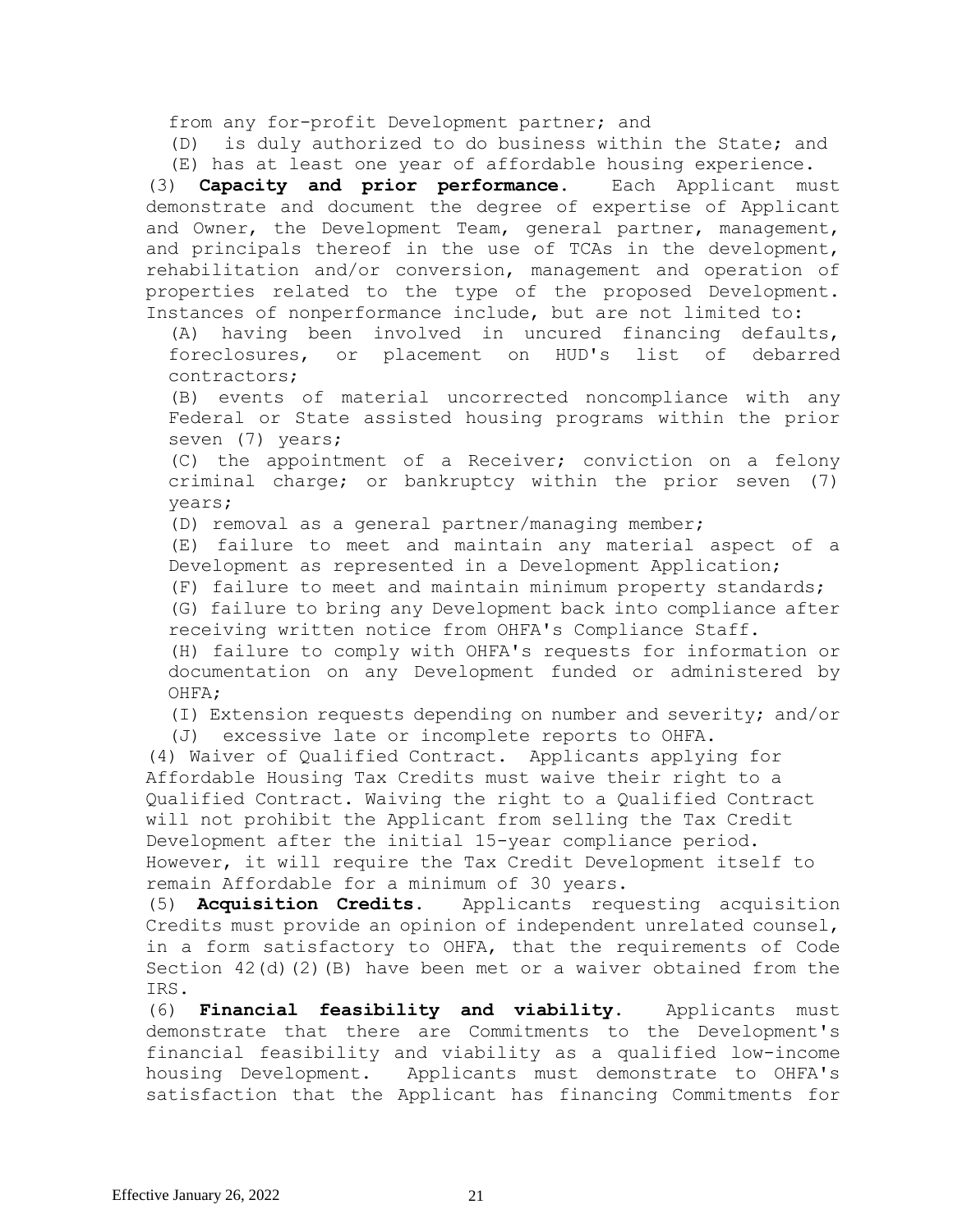from any for-profit Development partner; and

(D) is duly authorized to do business within the State; and (E) has at least one year of affordable housing experience.

(3) **Capacity and prior performance.** Each Applicant must demonstrate and document the degree of expertise of Applicant and Owner, the Development Team, general partner, management, and principals thereof in the use of TCAs in the development, rehabilitation and/or conversion, management and operation of properties related to the type of the proposed Development. Instances of nonperformance include, but are not limited to:

(A) having been involved in uncured financing defaults, foreclosures, or placement on HUD's list of debarred contractors;

(B) events of material uncorrected noncompliance with any Federal or State assisted housing programs within the prior seven (7) years;

(C) the appointment of a Receiver; conviction on a felony criminal charge; or bankruptcy within the prior seven (7) years;

(D) removal as a general partner/managing member;

(E) failure to meet and maintain any material aspect of a Development as represented in a Development Application;

(F) failure to meet and maintain minimum property standards; (G) failure to bring any Development back into compliance after receiving written notice from OHFA's Compliance Staff.

(H) failure to comply with OHFA's requests for information or documentation on any Development funded or administered by OHFA;

(I) Extension requests depending on number and severity; and/or

(J) excessive late or incomplete reports to OHFA.

(4) Waiver of Qualified Contract. Applicants applying for Affordable Housing Tax Credits must waive their right to a Qualified Contract. Waiving the right to a Qualified Contract will not prohibit the Applicant from selling the Tax Credit Development after the initial 15-year compliance period. However, it will require the Tax Credit Development itself to remain Affordable for a minimum of 30 years.

(5) **Acquisition Credits.** Applicants requesting acquisition Credits must provide an opinion of independent unrelated counsel, in a form satisfactory to OHFA, that the requirements of Code Section 42(d)(2)(B) have been met or a waiver obtained from the IRS.

(6) **Financial feasibility and viability**. Applicants must demonstrate that there are Commitments to the Development's financial feasibility and viability as a qualified low-income housing Development. Applicants must demonstrate to OHFA's satisfaction that the Applicant has financing Commitments for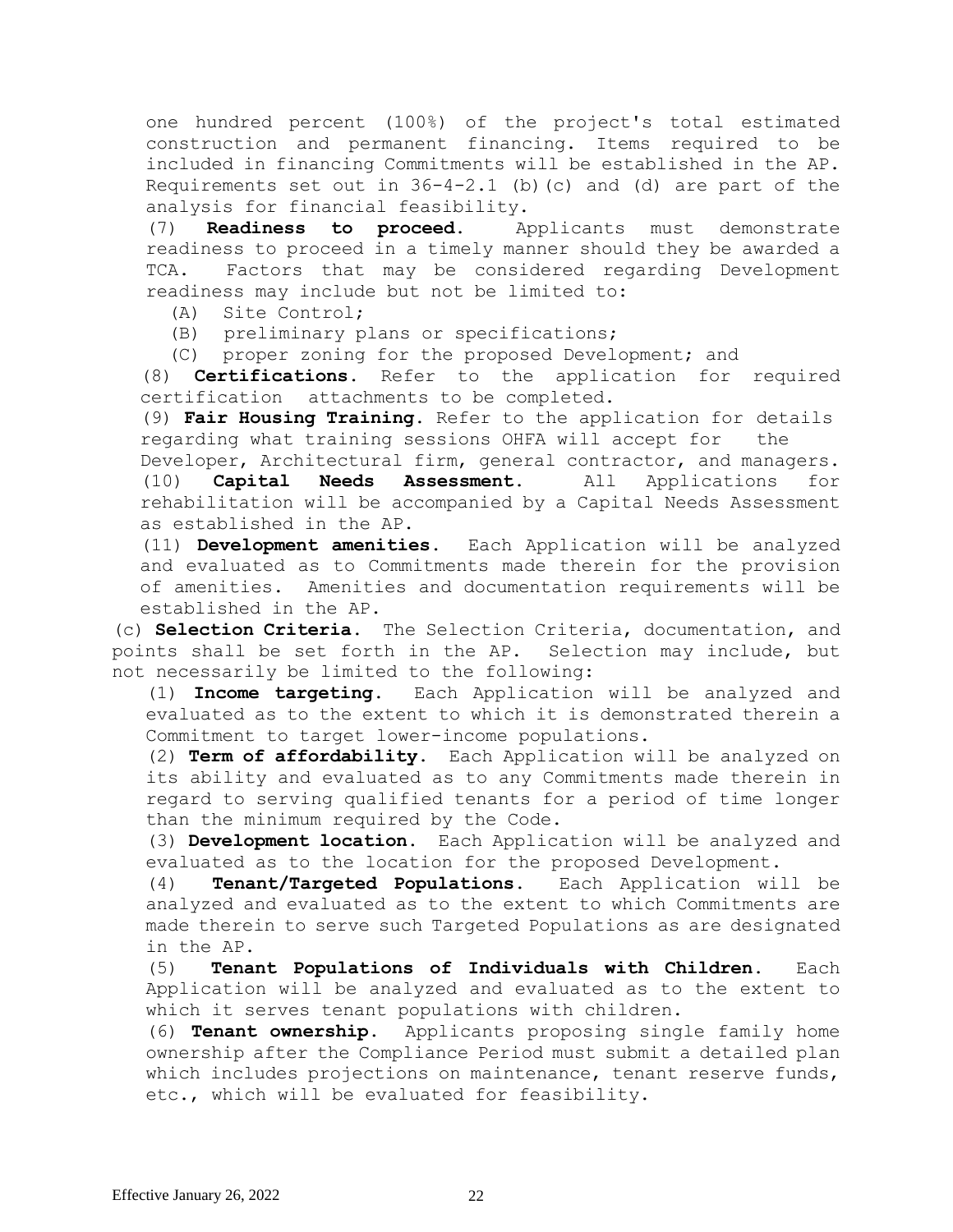one hundred percent (100%) of the project's total estimated construction and permanent financing. Items required to be included in financing Commitments will be established in the AP. Requirements set out in  $36-4-2.1$  (b) (c) and (d) are part of the analysis for financial feasibility.

(7) **Readiness to proceed**. Applicants must demonstrate readiness to proceed in a timely manner should they be awarded a TCA. Factors that may be considered regarding Development readiness may include but not be limited to:

(A) Site Control;

(B) preliminary plans or specifications;

(C) proper zoning for the proposed Development; and

(8) **Certifications.** Refer to the application for required certification attachments to be completed.

(9) **Fair Housing Training.** Refer to the application for details regarding what training sessions OHFA will accept for the

Developer, Architectural firm, general contractor, and managers. (10) **Capital Needs Assessment.** All Applications for rehabilitation will be accompanied by a Capital Needs Assessment as established in the AP.

(11) **Development amenities.** Each Application will be analyzed and evaluated as to Commitments made therein for the provision of amenities. Amenities and documentation requirements will be established in the AP.

(c) **Selection Criteria.** The Selection Criteria, documentation, and points shall be set forth in the AP. Selection may include, but not necessarily be limited to the following:

(1) **Income targeting.** Each Application will be analyzed and evaluated as to the extent to which it is demonstrated therein a Commitment to target lower-income populations.

(2) **Term of affordability.** Each Application will be analyzed on its ability and evaluated as to any Commitments made therein in regard to serving qualified tenants for a period of time longer than the minimum required by the Code.

(3) **Development location.** Each Application will be analyzed and evaluated as to the location for the proposed Development.

(4) **Tenant/Targeted Populations.** Each Application will be analyzed and evaluated as to the extent to which Commitments are made therein to serve such Targeted Populations as are designated in the AP.

(5) **Tenant Populations of Individuals with Children.** Each Application will be analyzed and evaluated as to the extent to which it serves tenant populations with children.

(6) **Tenant ownership.** Applicants proposing single family home ownership after the Compliance Period must submit a detailed plan which includes projections on maintenance, tenant reserve funds, etc., which will be evaluated for feasibility.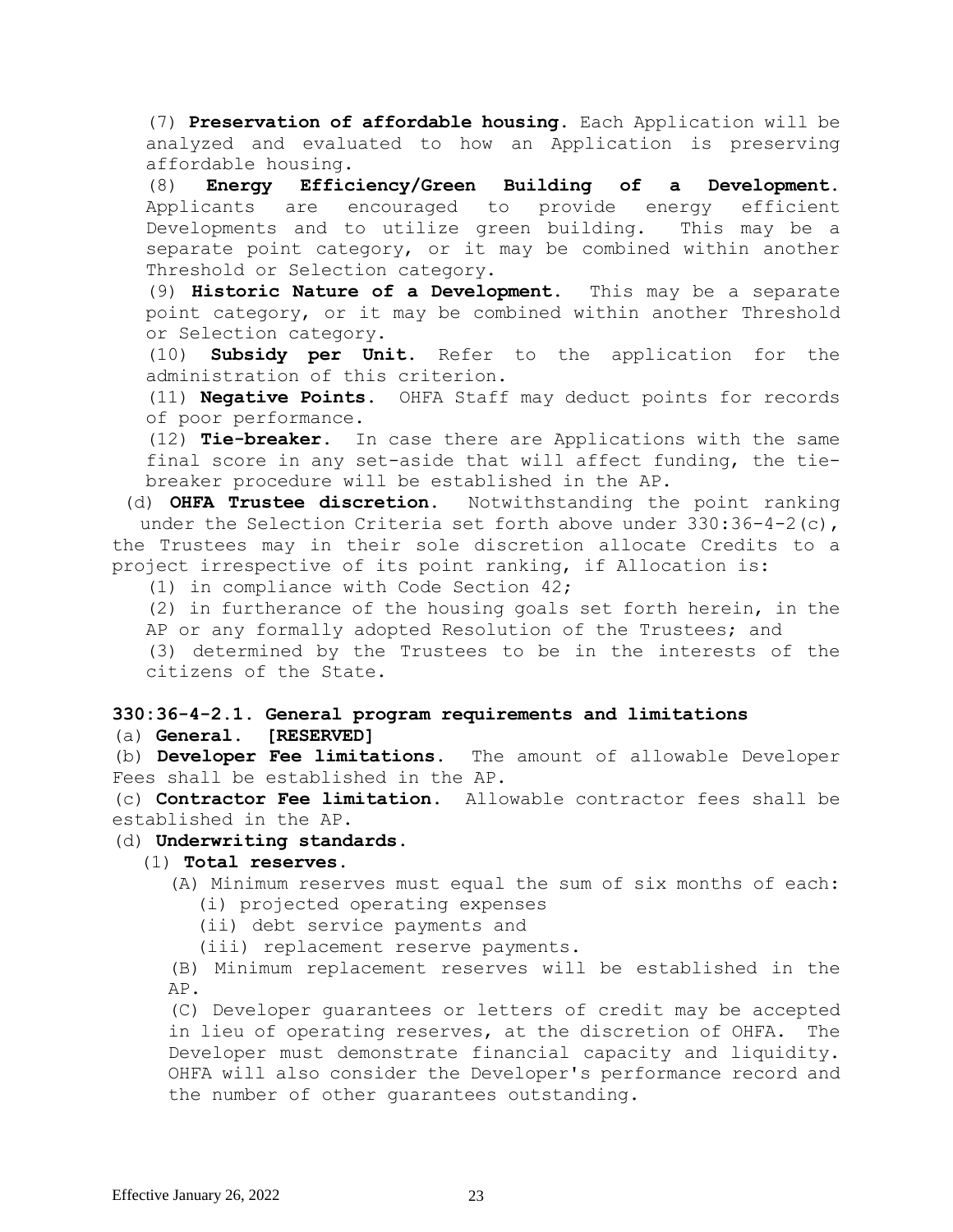(7) **Preservation of affordable housing.** Each Application will be analyzed and evaluated to how an Application is preserving affordable housing.

(8) **Energy Efficiency/Green Building of a Development.**  Applicants are encouraged to provide energy efficient Developments and to utilize green building. This may be a separate point category, or it may be combined within another Threshold or Selection category.

(9) **Historic Nature of a Development.** This may be a separate point category, or it may be combined within another Threshold or Selection category.

(10) **Subsidy per Unit.** Refer to the application for the administration of this criterion.

(11) **Negative Points**. OHFA Staff may deduct points for records of poor performance.

(12) **Tie-breaker.** In case there are Applications with the same final score in any set-aside that will affect funding, the tiebreaker procedure will be established in the AP.

(d) **OHFA Trustee discretion.** Notwithstanding the point ranking under the Selection Criteria set forth above under  $330:36-4-2(c)$ , the Trustees may in their sole discretion allocate Credits to a project irrespective of its point ranking, if Allocation is:

(1) in compliance with Code Section 42;

(2) in furtherance of the housing goals set forth herein, in the AP or any formally adopted Resolution of the Trustees; and

(3) determined by the Trustees to be in the interests of the citizens of the State.

# **330:36-4-2.1. General program requirements and limitations** (a) **General. [RESERVED]**

(b) **Developer Fee limitations.** The amount of allowable Developer Fees shall be established in the AP.

(c) **Contractor Fee limitation.** Allowable contractor fees shall be established in the AP.

# (d) **Underwriting standards**.

# (1) **Total reserves.**

(A) Minimum reserves must equal the sum of six months of each: (i) projected operating expenses

(ii) debt service payments and

(iii) replacement reserve payments.

(B) Minimum replacement reserves will be established in the AP.

(C) Developer guarantees or letters of credit may be accepted in lieu of operating reserves, at the discretion of OHFA. The Developer must demonstrate financial capacity and liquidity. OHFA will also consider the Developer's performance record and the number of other guarantees outstanding.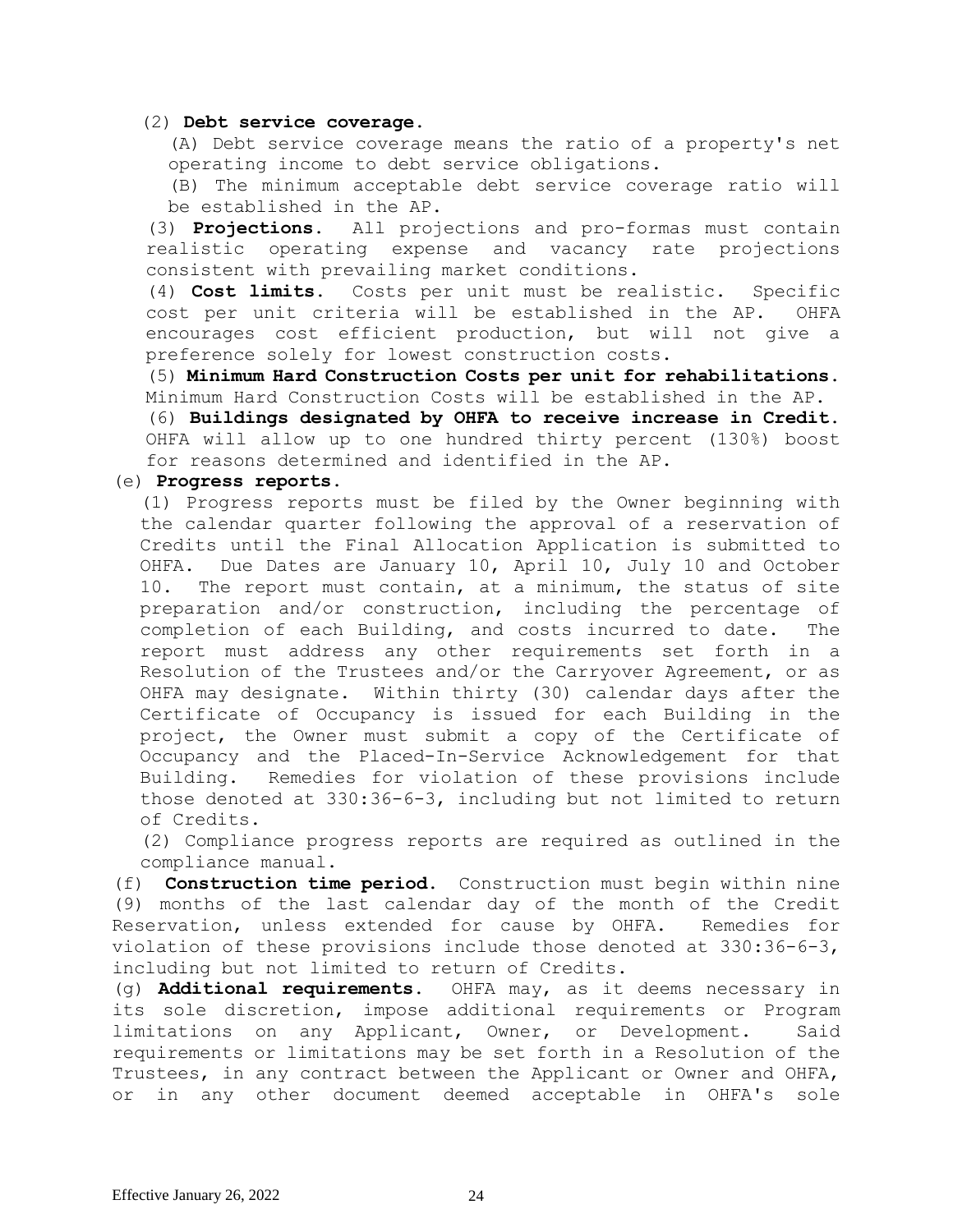### (2) **Debt service coverage.**

(A) Debt service coverage means the ratio of a property's net operating income to debt service obligations.

(B) The minimum acceptable debt service coverage ratio will be established in the AP.

(3) **Projections.** All projections and pro-formas must contain realistic operating expense and vacancy rate projections consistent with prevailing market conditions.

(4) **Cost limits.** Costs per unit must be realistic. Specific cost per unit criteria will be established in the AP. OHFA encourages cost efficient production, but will not give a preference solely for lowest construction costs.

(5) **Minimum Hard Construction Costs per unit for rehabilitations.** Minimum Hard Construction Costs will be established in the AP.

(6) **Buildings designated by OHFA to receive increase in Credit.**  OHFA will allow up to one hundred thirty percent (130%) boost for reasons determined and identified in the AP.

### (e) **Progress reports.**

(1) Progress reports must be filed by the Owner beginning with the calendar quarter following the approval of a reservation of Credits until the Final Allocation Application is submitted to OHFA. Due Dates are January 10, April 10, July 10 and October 10. The report must contain, at a minimum, the status of site preparation and/or construction, including the percentage of completion of each Building, and costs incurred to date. The report must address any other requirements set forth in a Resolution of the Trustees and/or the Carryover Agreement, or as OHFA may designate. Within thirty (30) calendar days after the Certificate of Occupancy is issued for each Building in the project, the Owner must submit a copy of the Certificate of Occupancy and the Placed-In-Service Acknowledgement for that Building. Remedies for violation of these provisions include those denoted at 330:36-6-3, including but not limited to return of Credits.

(2) Compliance progress reports are required as outlined in the compliance manual.

(f) **Construction time period**. Construction must begin within nine (9) months of the last calendar day of the month of the Credit Reservation, unless extended for cause by OHFA. Remedies for violation of these provisions include those denoted at 330:36-6-3, including but not limited to return of Credits.

(g) **Additional requirements.** OHFA may, as it deems necessary in its sole discretion, impose additional requirements or Program limitations on any Applicant, Owner, or Development. Said requirements or limitations may be set forth in a Resolution of the Trustees, in any contract between the Applicant or Owner and OHFA, or in any other document deemed acceptable in OHFA's sole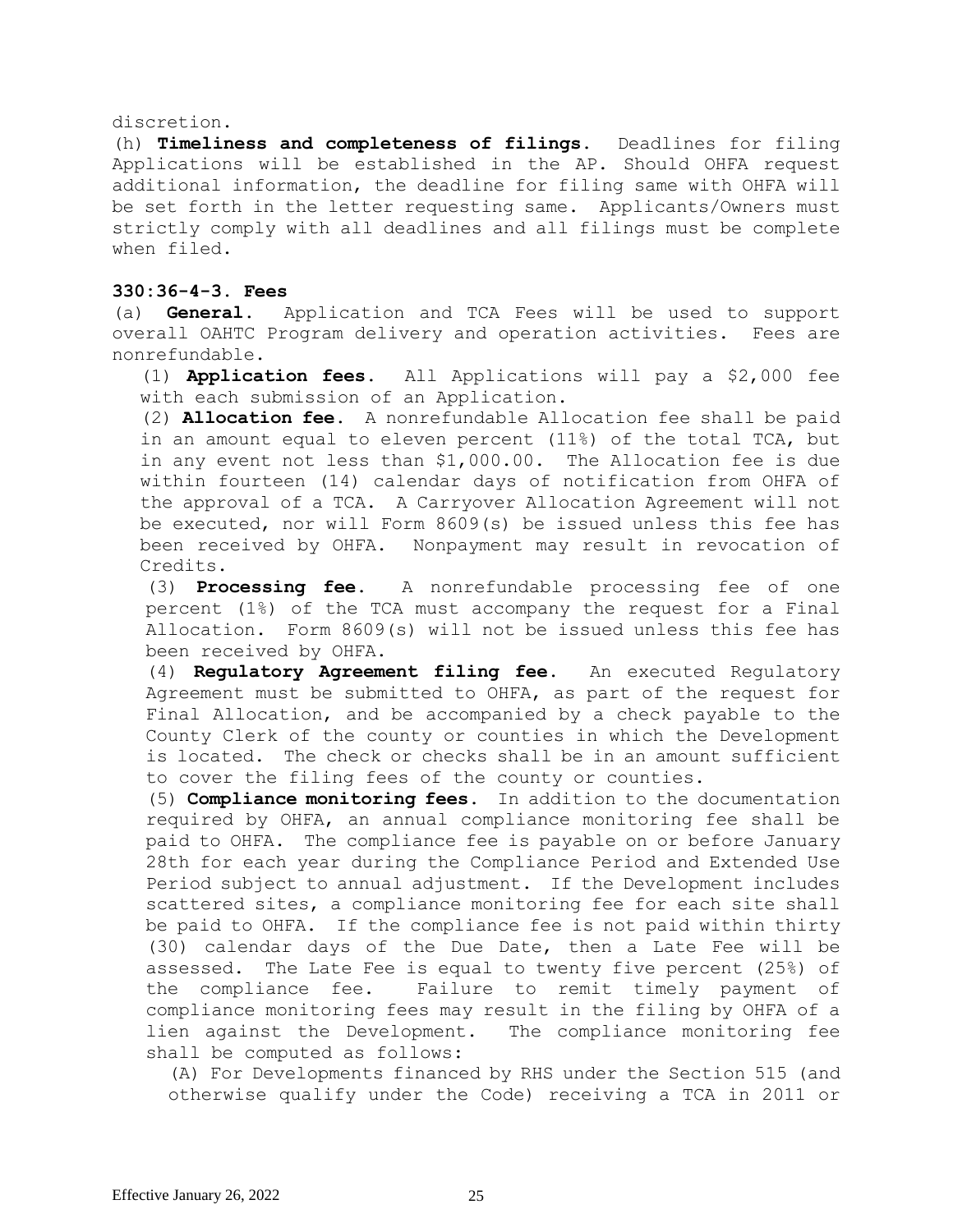#### discretion.

(h) **Timeliness and completeness of filings.** Deadlines for filing Applications will be established in the AP. Should OHFA request additional information, the deadline for filing same with OHFA will be set forth in the letter requesting same. Applicants/Owners must strictly comply with all deadlines and all filings must be complete when filed.

## **330:36-4-3. Fees**

(a) **General.** Application and TCA Fees will be used to support overall OAHTC Program delivery and operation activities. Fees are nonrefundable.

(1) **Application fees.** All Applications will pay a \$2,000 fee with each submission of an Application.

(2) **Allocation fee.** A nonrefundable Allocation fee shall be paid in an amount equal to eleven percent (11%) of the total TCA, but in any event not less than \$1,000.00. The Allocation fee is due within fourteen (14) calendar days of notification from OHFA of the approval of a TCA. A Carryover Allocation Agreement will not be executed, nor will Form 8609(s) be issued unless this fee has been received by OHFA. Nonpayment may result in revocation of Credits.

(3) **Processing fee.** A nonrefundable processing fee of one percent (1%) of the TCA must accompany the request for a Final Allocation. Form 8609(s) will not be issued unless this fee has been received by OHFA.

(4) **Regulatory Agreement filing fee.** An executed Regulatory Agreement must be submitted to OHFA, as part of the request for Final Allocation, and be accompanied by a check payable to the County Clerk of the county or counties in which the Development is located. The check or checks shall be in an amount sufficient to cover the filing fees of the county or counties.

(5) **Compliance monitoring fees**. In addition to the documentation required by OHFA, an annual compliance monitoring fee shall be paid to OHFA. The compliance fee is payable on or before January 28th for each year during the Compliance Period and Extended Use Period subject to annual adjustment. If the Development includes scattered sites, a compliance monitoring fee for each site shall be paid to OHFA. If the compliance fee is not paid within thirty (30) calendar days of the Due Date, then a Late Fee will be assessed. The Late Fee is equal to twenty five percent (25%) of the compliance fee. Failure to remit timely payment of compliance monitoring fees may result in the filing by OHFA of a lien against the Development. The compliance monitoring fee shall be computed as follows:

(A) For Developments financed by RHS under the Section 515 (and otherwise qualify under the Code) receiving a TCA in 2011 or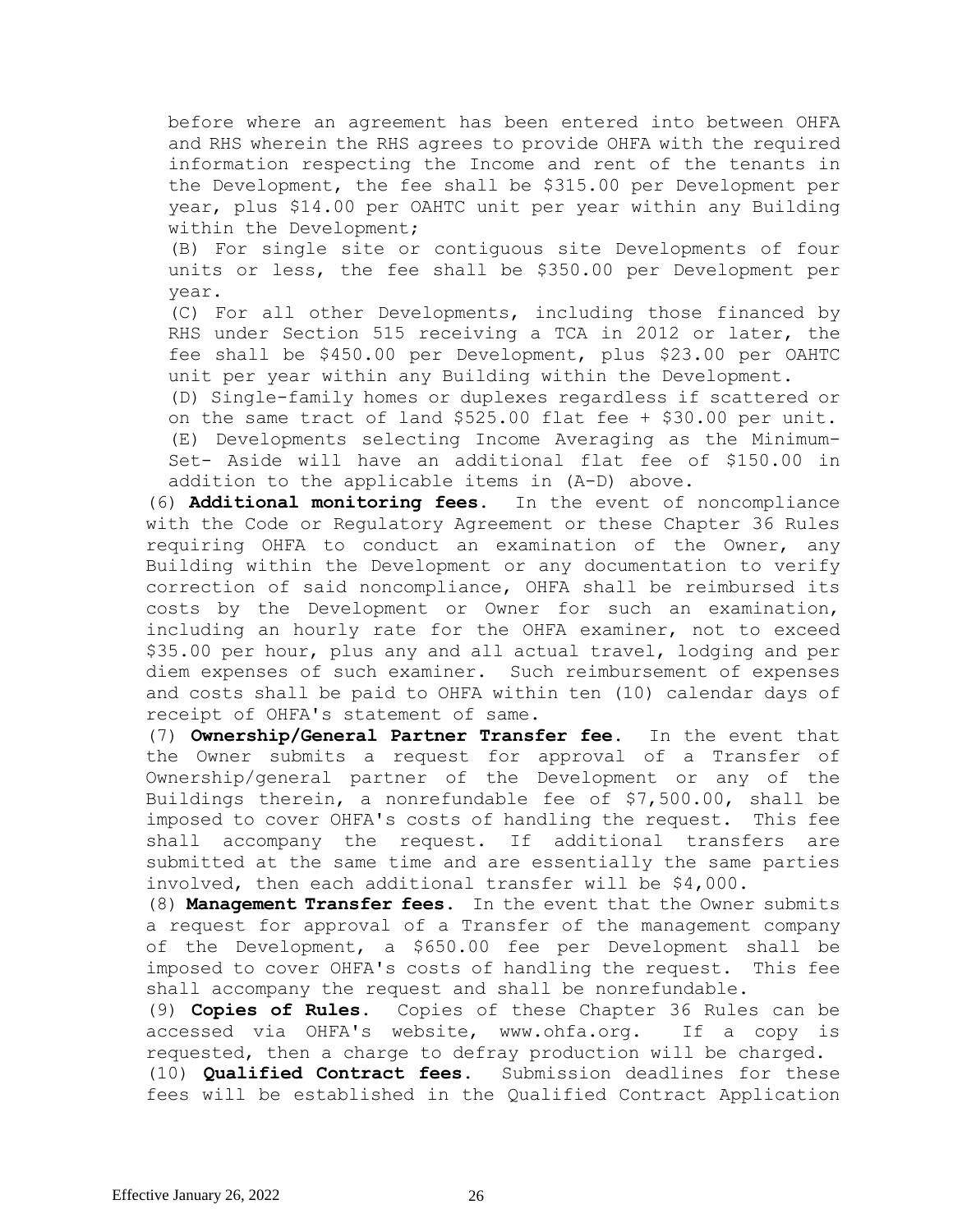before where an agreement has been entered into between OHFA and RHS wherein the RHS agrees to provide OHFA with the required information respecting the Income and rent of the tenants in the Development, the fee shall be \$315.00 per Development per year, plus \$14.00 per OAHTC unit per year within any Building within the Development;

(B) For single site or contiguous site Developments of four units or less, the fee shall be \$350.00 per Development per year.

(C) For all other Developments, including those financed by RHS under Section 515 receiving a TCA in 2012 or later, the fee shall be \$450.00 per Development, plus \$23.00 per OAHTC unit per year within any Building within the Development.

(D) Single-family homes or duplexes regardless if scattered or on the same tract of land \$525.00 flat fee + \$30.00 per unit. (E) Developments selecting Income Averaging as the Minimum-Set- Aside will have an additional flat fee of \$150.00 in addition to the applicable items in (A-D) above.

(6) **Additional monitoring fees.** In the event of noncompliance with the Code or Regulatory Agreement or these Chapter 36 Rules requiring OHFA to conduct an examination of the Owner, any Building within the Development or any documentation to verify correction of said noncompliance, OHFA shall be reimbursed its costs by the Development or Owner for such an examination, including an hourly rate for the OHFA examiner, not to exceed \$35.00 per hour, plus any and all actual travel, lodging and per diem expenses of such examiner. Such reimbursement of expenses and costs shall be paid to OHFA within ten (10) calendar days of receipt of OHFA's statement of same.

(7) **Ownership/General Partner Transfer fee.** In the event that the Owner submits a request for approval of a Transfer of Ownership/general partner of the Development or any of the Buildings therein, a nonrefundable fee of \$7,500.00, shall be imposed to cover OHFA's costs of handling the request. This fee shall accompany the request. If additional transfers are submitted at the same time and are essentially the same parties involved, then each additional transfer will be \$4,000.

(8) **Management Transfer fees.** In the event that the Owner submits a request for approval of a Transfer of the management company of the Development, a \$650.00 fee per Development shall be imposed to cover OHFA's costs of handling the request. This fee shall accompany the request and shall be nonrefundable.

(9) **Copies of Rules.** Copies of these Chapter 36 Rules can be accessed via OHFA's website, [www.ohfa.org.](http://www.ohfa.org/) If a copy is requested, then a charge to defray production will be charged. (10) **Qualified Contract fees.** Submission deadlines for these fees will be established in the Qualified Contract Application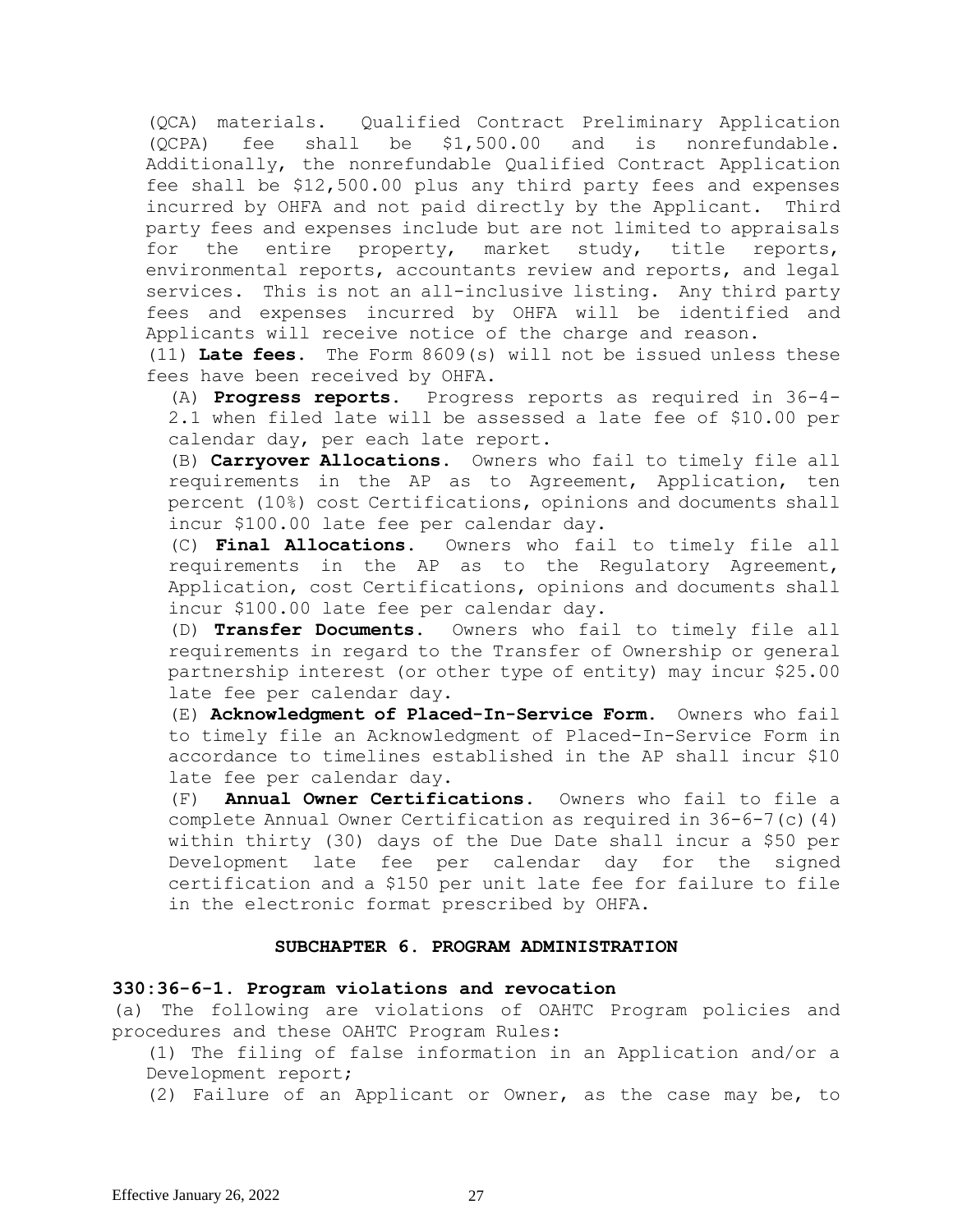(QCA) materials. Qualified Contract Preliminary Application (QCPA) fee shall be \$1,500.00 and is nonrefundable. Additionally, the nonrefundable Qualified Contract Application fee shall be \$12,500.00 plus any third party fees and expenses incurred by OHFA and not paid directly by the Applicant.Third party fees and expenses include but are not limited to appraisals for the entire property, market study, title reports, environmental reports, accountants review and reports, and legal services. This is not an all-inclusive listing. Any third party fees and expenses incurred by OHFA will be identified and Applicants will receive notice of the charge and reason.

(11) **Late fees.** The Form 8609(s) will not be issued unless these fees have been received by OHFA.

(A) **Progress reports.** Progress reports as required in 36-4- 2.1 when filed late will be assessed a late fee of \$10.00 per calendar day, per each late report.

(B) **Carryover Allocations.** Owners who fail to timely file all requirements in the AP as to Agreement, Application, ten percent (10%) cost Certifications, opinions and documents shall incur \$100.00 late fee per calendar day.

(C) **Final Allocations.** Owners who fail to timely file all requirements in the AP as to the Regulatory Agreement, Application, cost Certifications, opinions and documents shall incur \$100.00 late fee per calendar day.

(D) **Transfer Documents.** Owners who fail to timely file all requirements in regard to the Transfer of Ownership or general partnership interest (or other type of entity) may incur \$25.00 late fee per calendar day.

(E) **Acknowledgment of Placed-In-Service Form.** Owners who fail to timely file an Acknowledgment of Placed-In-Service Form in accordance to timelines established in the AP shall incur \$10 late fee per calendar day.

(F) **Annual Owner Certifications.** Owners who fail to file a complete Annual Owner Certification as required in 36-6-7(c)(4) within thirty (30) days of the Due Date shall incur a \$50 per Development late fee per calendar day for the signed certification and a \$150 per unit late fee for failure to file in the electronic format prescribed by OHFA.

#### **SUBCHAPTER 6. PROGRAM ADMINISTRATION**

#### **330:36-6-1. Program violations and revocation**

(a) The following are violations of OAHTC Program policies and procedures and these OAHTC Program Rules:

(1) The filing of false information in an Application and/or a Development report;

(2) Failure of an Applicant or Owner, as the case may be, to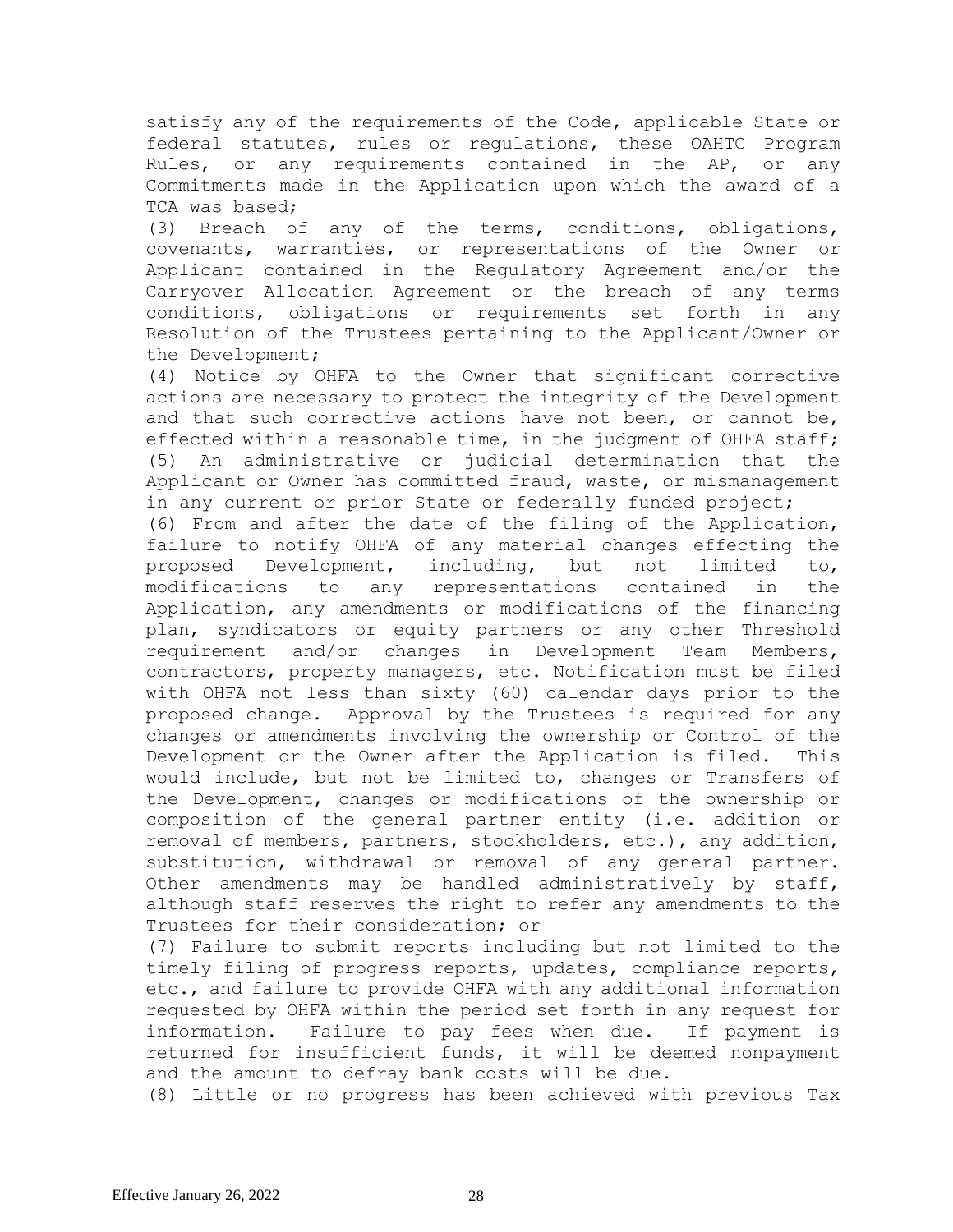satisfy any of the requirements of the Code, applicable State or federal statutes, rules or regulations, these OAHTC Program Rules, or any requirements contained in the AP, or any Commitments made in the Application upon which the award of a TCA was based;

(3) Breach of any of the terms, conditions, obligations, covenants, warranties, or representations of the Owner or Applicant contained in the Regulatory Agreement and/or the Carryover Allocation Agreement or the breach of any terms conditions, obligations or requirements set forth in any Resolution of the Trustees pertaining to the Applicant/Owner or the Development;

(4) Notice by OHFA to the Owner that significant corrective actions are necessary to protect the integrity of the Development and that such corrective actions have not been, or cannot be, effected within a reasonable time, in the judgment of OHFA staff; (5) An administrative or judicial determination that the Applicant or Owner has committed fraud, waste, or mismanagement in any current or prior State or federally funded project;

(6) From and after the date of the filing of the Application, failure to notify OHFA of any material changes effecting the proposed Development, including, but not limited to, modifications to any representations contained in the Application, any amendments or modifications of the financing plan, syndicators or equity partners or any other Threshold requirement and/or changes in Development Team Members, contractors, property managers, etc. Notification must be filed with OHFA not less than sixty (60) calendar days prior to the proposed change. Approval by the Trustees is required for any changes or amendments involving the ownership or Control of the Development or the Owner after the Application is filed. This would include, but not be limited to, changes or Transfers of the Development, changes or modifications of the ownership or composition of the general partner entity (i.e. addition or removal of members, partners, stockholders, etc.), any addition, substitution, withdrawal or removal of any general partner. Other amendments may be handled administratively by staff, although staff reserves the right to refer any amendments to the Trustees for their consideration; or

(7) Failure to submit reports including but not limited to the timely filing of progress reports, updates, compliance reports, etc., and failure to provide OHFA with any additional information requested by OHFA within the period set forth in any request for information. Failure to pay fees when due. If payment is returned for insufficient funds, it will be deemed nonpayment and the amount to defray bank costs will be due.

(8) Little or no progress has been achieved with previous Tax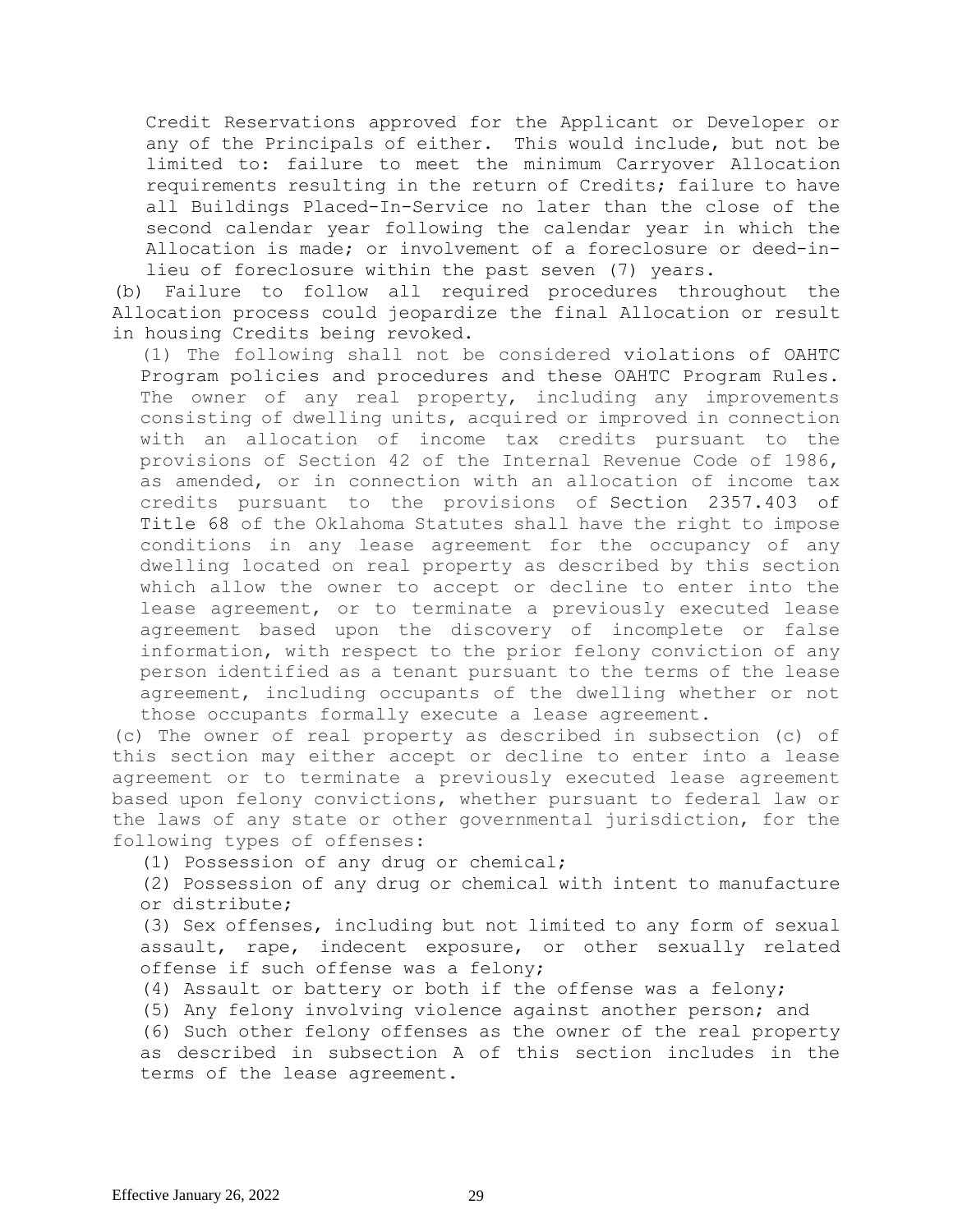Credit Reservations approved for the Applicant or Developer or any of the Principals of either. This would include, but not be limited to: failure to meet the minimum Carryover Allocation requirements resulting in the return of Credits; failure to have all Buildings Placed-In-Service no later than the close of the second calendar year following the calendar year in which the Allocation is made; or involvement of a foreclosure or deed-inlieu of foreclosure within the past seven (7) years.

(b) Failure to follow all required procedures throughout the Allocation process could jeopardize the final Allocation or result in housing Credits being revoked.

(1) The following shall not be considered violations of OAHTC Program policies and procedures and these OAHTC Program Rules. The owner of any real property, including any improvements consisting of dwelling units, acquired or improved in connection with an allocation of income tax credits pursuant to the provisions of Section 42 of the Internal Revenue Code of 1986, as amended, or in connection with an allocation of income tax credits pursuant to the provisions of [Section 2357.403 of](https://www.oscn.net/applications/oscn/DeliverDocument.asp?citeid=474122)  [Title](https://www.oscn.net/applications/oscn/DeliverDocument.asp?citeid=474122) 68 of the Oklahoma Statutes shall have the right to impose conditions in any lease agreement for the occupancy of any dwelling located on real property as described by this section which allow the owner to accept or decline to enter into the lease agreement, or to terminate a previously executed lease agreement based upon the discovery of incomplete or false information, with respect to the prior felony conviction of any person identified as a tenant pursuant to the terms of the lease agreement, including occupants of the dwelling whether or not those occupants formally execute a lease agreement.

(c) The owner of real property as described in subsection (c) of this section may either accept or decline to enter into a lease agreement or to terminate a previously executed lease agreement based upon felony convictions, whether pursuant to federal law or the laws of any state or other governmental jurisdiction, for the following types of offenses:

(1) Possession of any drug or chemical;

(2) Possession of any drug or chemical with intent to manufacture or distribute;

(3) Sex offenses, including but not limited to any form of sexual assault, rape, indecent exposure, or other sexually related offense if such offense was a felony;

(4) Assault or battery or both if the offense was a felony;

(5) Any felony involving violence against another person; and

(6) Such other felony offenses as the owner of the real property as described in subsection A of this section includes in the terms of the lease agreement.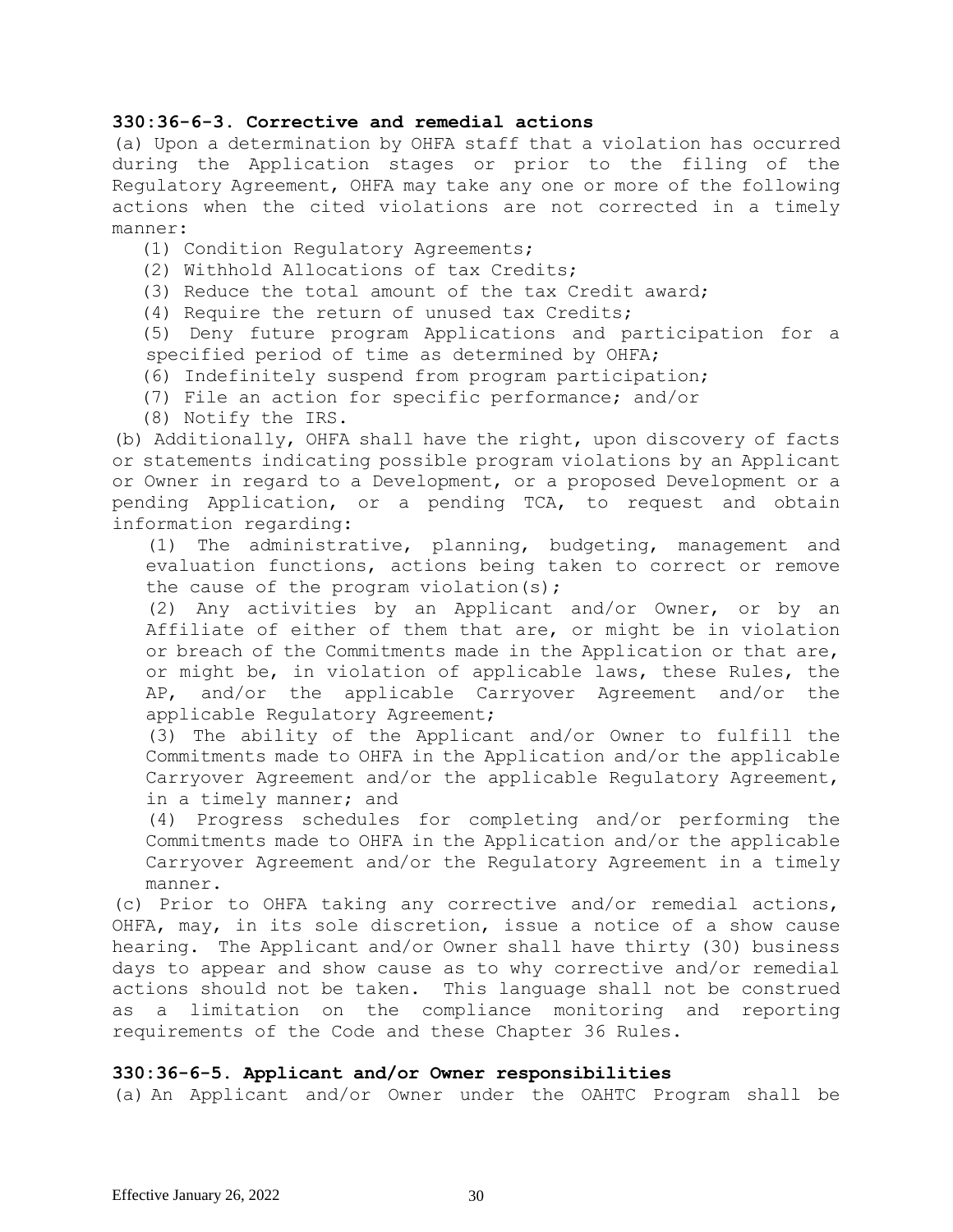## **330:36-6-3. Corrective and remedial actions**

(a) Upon a determination by OHFA staff that a violation has occurred during the Application stages or prior to the filing of the Regulatory Agreement, OHFA may take any one or more of the following actions when the cited violations are not corrected in a timely manner:

- (1) Condition Regulatory Agreements;
- (2) Withhold Allocations of tax Credits;
- (3) Reduce the total amount of the tax Credit award;
- (4) Require the return of unused tax Credits;

(5) Deny future program Applications and participation for a specified period of time as determined by OHFA;

- (6) Indefinitely suspend from program participation;
- (7) File an action for specific performance; and/or
- (8) Notify the IRS.

(b) Additionally, OHFA shall have the right, upon discovery of facts or statements indicating possible program violations by an Applicant or Owner in regard to a Development, or a proposed Development or a pending Application, or a pending TCA, to request and obtain information regarding:

(1) The administrative, planning, budgeting, management and evaluation functions, actions being taken to correct or remove the cause of the program violation(s);

(2) Any activities by an Applicant and/or Owner, or by an Affiliate of either of them that are, or might be in violation or breach of the Commitments made in the Application or that are, or might be, in violation of applicable laws, these Rules, the AP, and/or the applicable Carryover Agreement and/or the applicable Regulatory Agreement;

(3) The ability of the Applicant and/or Owner to fulfill the Commitments made to OHFA in the Application and/or the applicable Carryover Agreement and/or the applicable Regulatory Agreement, in a timely manner; and

(4) Progress schedules for completing and/or performing the Commitments made to OHFA in the Application and/or the applicable Carryover Agreement and/or the Regulatory Agreement in a timely manner.

(c) Prior to OHFA taking any corrective and/or remedial actions, OHFA, may, in its sole discretion, issue a notice of a show cause hearing. The Applicant and/or Owner shall have thirty (30) business days to appear and show cause as to why corrective and/or remedial actions should not be taken. This language shall not be construed as a limitation on the compliance monitoring and reporting requirements of the Code and these Chapter 36 Rules.

## **330:36-6-5. Applicant and/or Owner responsibilities**

(a) An Applicant and/or Owner under the OAHTC Program shall be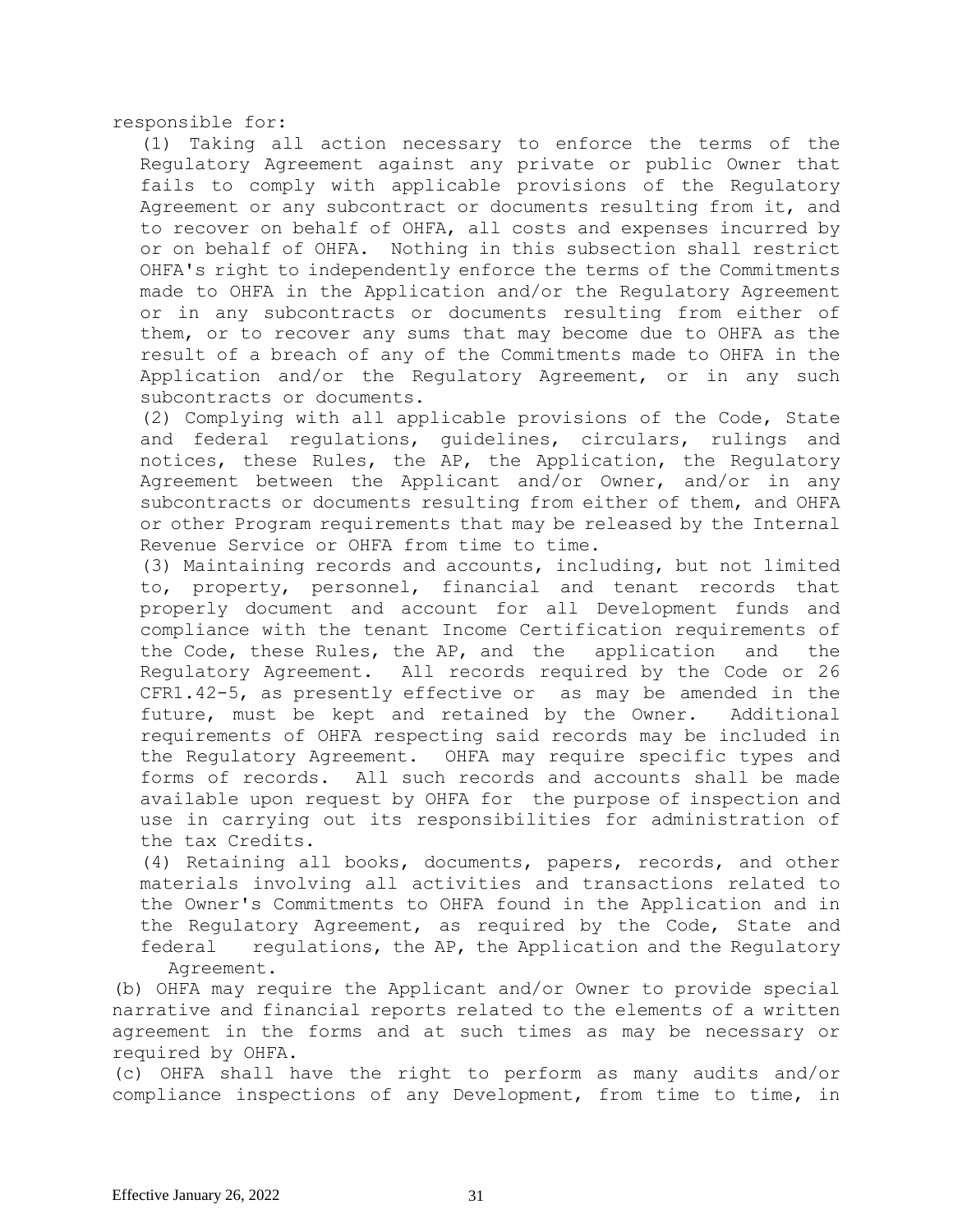responsible for:

(1) Taking all action necessary to enforce the terms of the Regulatory Agreement against any private or public Owner that fails to comply with applicable provisions of the Regulatory Agreement or any subcontract or documents resulting from it, and to recover on behalf of OHFA, all costs and expenses incurred by or on behalf of OHFA. Nothing in this subsection shall restrict OHFA's right to independently enforce the terms of the Commitments made to OHFA in the Application and/or the Regulatory Agreement or in any subcontracts or documents resulting from either of them, or to recover any sums that may become due to OHFA as the result of a breach of any of the Commitments made to OHFA in the Application and/or the Regulatory Agreement, or in any such subcontracts or documents.

(2) Complying with all applicable provisions of the Code, State and federal regulations, guidelines, circulars, rulings and notices, these Rules, the AP, the Application, the Regulatory Agreement between the Applicant and/or Owner, and/or in any subcontracts or documents resulting from either of them, and OHFA or other Program requirements that may be released by the Internal Revenue Service or OHFA from time to time.

(3) Maintaining records and accounts, including, but not limited to, property, personnel, financial and tenant records that properly document and account for all Development funds and compliance with the tenant Income Certification requirements of the Code, these Rules, the AP, and the application and the Regulatory Agreement. All records required by the Code or 26 CFR1.42-5, as presently effective or as may be amended in the future, must be kept and retained by the Owner. Additional requirements of OHFA respecting said records may be included in the Regulatory Agreement. OHFA may require specific types and forms of records. All such records and accounts shall be made available upon request by OHFA for the purpose of inspection and use in carrying out its responsibilities for administration of the tax Credits.

(4) Retaining all books, documents, papers, records, and other materials involving all activities and transactions related to the Owner's Commitments to OHFA found in the Application and in the Regulatory Agreement, as required by the Code, State and federal regulations, the AP, the Application and the Regulatory Agreement.

(b) OHFA may require the Applicant and/or Owner to provide special narrative and financial reports related to the elements of a written agreement in the forms and at such times as may be necessary or required by OHFA.

(c) OHFA shall have the right to perform as many audits and/or compliance inspections of any Development, from time to time, in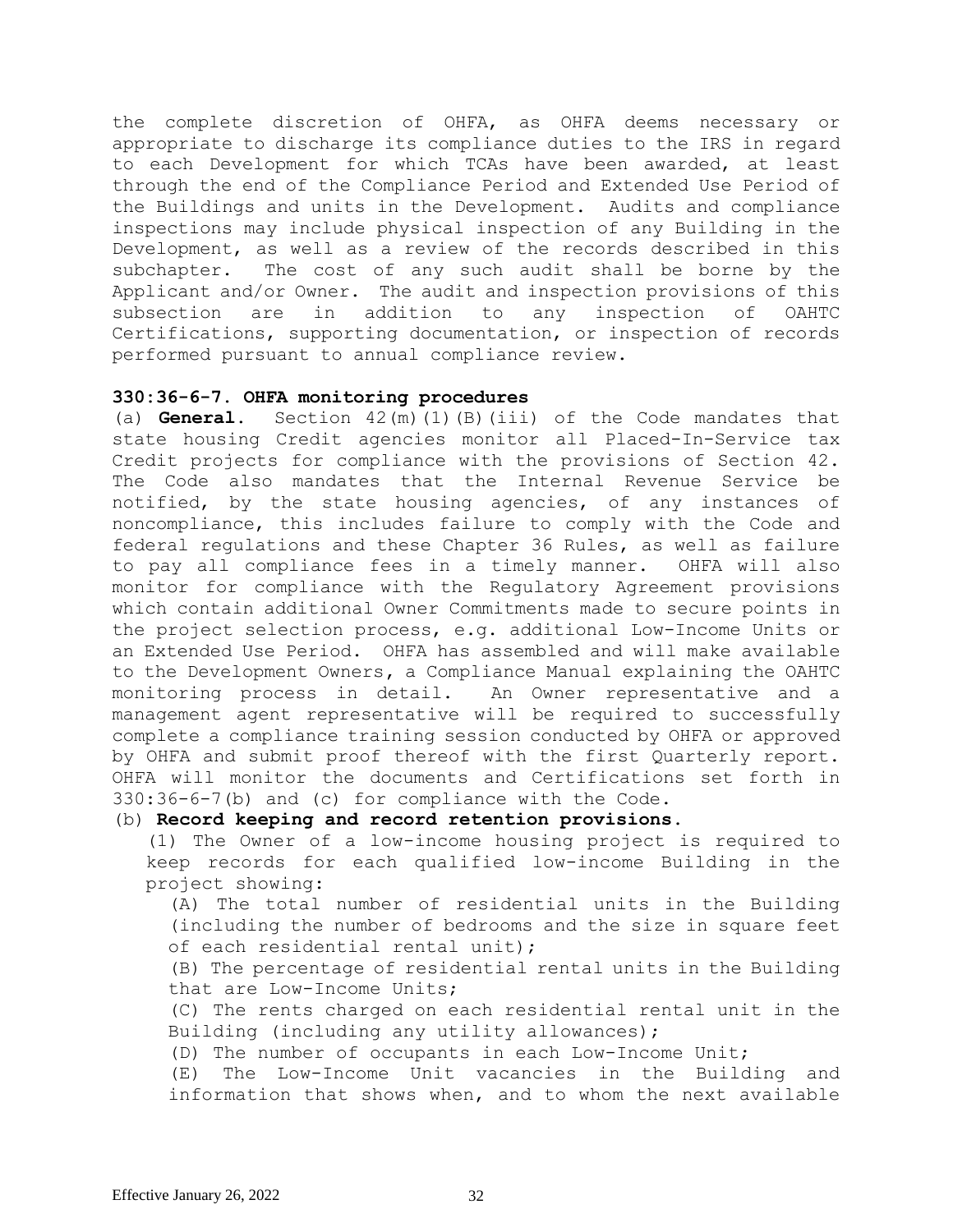the complete discretion of OHFA, as OHFA deems necessary or appropriate to discharge its compliance duties to the IRS in regard to each Development for which TCAs have been awarded, at least through the end of the Compliance Period and Extended Use Period of the Buildings and units in the Development. Audits and compliance inspections may include physical inspection of any Building in the Development, as well as a review of the records described in this subchapter. The cost of any such audit shall be borne by the Applicant and/or Owner. The audit and inspection provisions of this subsection are in addition to any inspection of OAHTC Certifications, supporting documentation, or inspection of records performed pursuant to annual compliance review.

## **330:36-6-7. OHFA monitoring procedures**

(a) **General.** Section 42(m)(1)(B)(iii) of the Code mandates that state housing Credit agencies monitor all Placed-In-Service tax Credit projects for compliance with the provisions of Section 42. The Code also mandates that the Internal Revenue Service be notified, by the state housing agencies, of any instances of noncompliance, this includes failure to comply with the Code and federal regulations and these Chapter 36 Rules, as well as failure to pay all compliance fees in a timely manner. OHFA will also monitor for compliance with the Regulatory Agreement provisions which contain additional Owner Commitments made to secure points in the project selection process, e.g. additional Low-Income Units or an Extended Use Period. OHFA has assembled and will make available to the Development Owners**,** a Compliance Manual explaining the OAHTC monitoring process in detail. An Owner representative and a management agent representative will be required to successfully complete a compliance training session conducted by OHFA or approved by OHFA and submit proof thereof with the first Quarterly report. OHFA will monitor the documents and Certifications set forth in 330:36-6-7(b) and (c) for compliance with the Code.

# (b) **Record keeping and record retention provisions**.

(1) The Owner of a low-income housing project is required to keep records for each qualified low-income Building in the project showing:

(A) The total number of residential units in the Building (including the number of bedrooms and the size in square feet of each residential rental unit);

(B) The percentage of residential rental units in the Building that are Low-Income Units;

(C) The rents charged on each residential rental unit in the Building (including any utility allowances);

(D) The number of occupants in each Low-Income Unit;

(E) The Low-Income Unit vacancies in the Building and information that shows when, and to whom the next available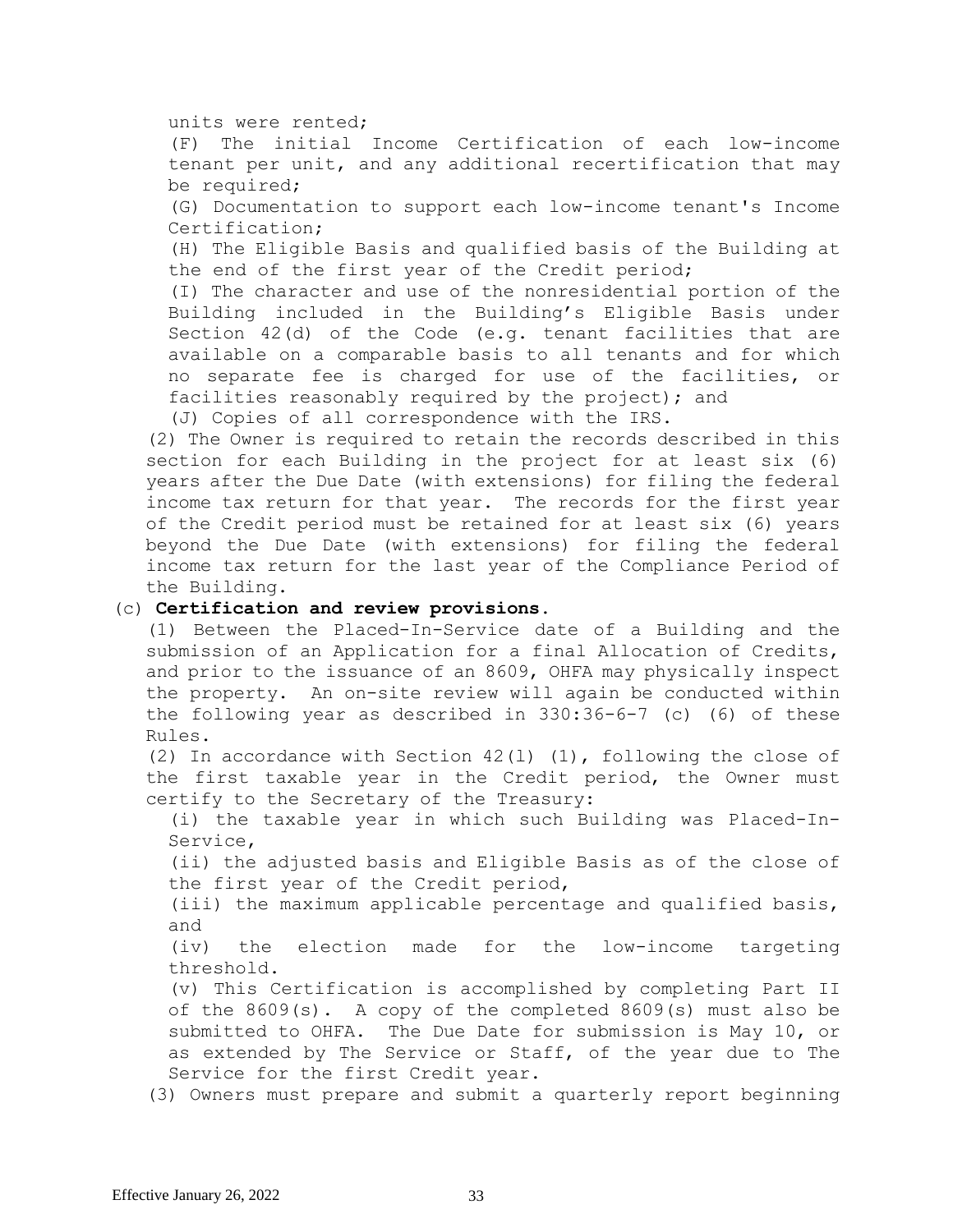units were rented;

(F) The initial Income Certification of each low-income tenant per unit, and any additional recertification that may be required;

(G) Documentation to support each low-income tenant's Income Certification;

(H) The Eligible Basis and qualified basis of the Building at the end of the first year of the Credit period;

(I) The character and use of the nonresidential portion of the Building included in the Building's Eligible Basis under Section 42(d) of the Code (e.g. tenant facilities that are available on a comparable basis to all tenants and for which no separate fee is charged for use of the facilities, or facilities reasonably required by the project); and

(J) Copies of all correspondence with the IRS.

(2) The Owner is required to retain the records described in this section for each Building in the project for at least six (6) years after the Due Date (with extensions) for filing the federal income tax return for that year. The records for the first year of the Credit period must be retained for at least six (6) years beyond the Due Date (with extensions) for filing the federal income tax return for the last year of the Compliance Period of the Building.

## (c) **Certification and review provisions.**

(1) Between the Placed-In-Service date of a Building and the submission of an Application for a final Allocation of Credits, and prior to the issuance of an 8609, OHFA may physically inspect the property. An on-site review will again be conducted within the following year as described in 330:36-6-7 (c) (6) of these Rules.

(2) In accordance with Section  $42(1)$  (1), following the close of the first taxable year in the Credit period, the Owner must certify to the Secretary of the Treasury:

(i) the taxable year in which such Building was Placed-In-Service,

(ii) the adjusted basis and Eligible Basis as of the close of the first year of the Credit period,

(iii) the maximum applicable percentage and qualified basis, and

(iv) the election made for the low-income targeting threshold.

(v) This Certification is accomplished by completing Part II of the 8609(s). A copy of the completed 8609(s) must also be submitted to OHFA. The Due Date for submission is May 10, or as extended by The Service or Staff, of the year due to The Service for the first Credit year.

(3) Owners must prepare and submit a quarterly report beginning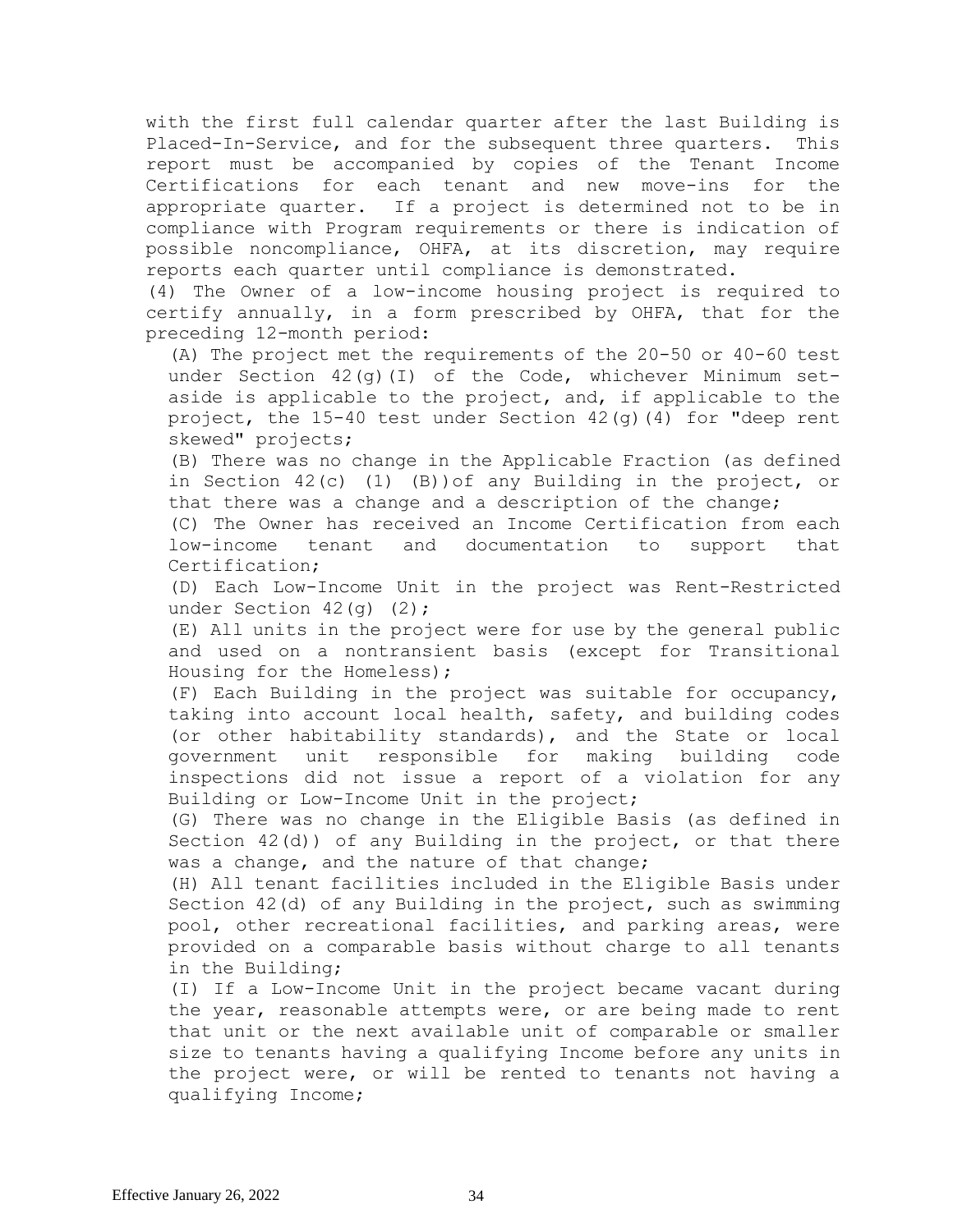with the first full calendar quarter after the last Building is Placed-In-Service, and for the subsequent three quarters. This report must be accompanied by copies of the Tenant Income Certifications for each tenant and new move-ins for the appropriate quarter. If a project is determined not to be in compliance with Program requirements or there is indication of possible noncompliance, OHFA, at its discretion, may require reports each quarter until compliance is demonstrated.

(4) The Owner of a low-income housing project is required to certify annually, in a form prescribed by OHFA, that for the preceding 12-month period:

(A) The project met the requirements of the 20-50 or 40-60 test under Section 42(g)(I) of the Code, whichever Minimum setaside is applicable to the project, and, if applicable to the project, the  $15-40$  test under Section  $42$ (g)(4) for "deep rent skewed" projects;

(B) There was no change in the Applicable Fraction (as defined in Section 42(c) (1) (B))of any Building in the project, or that there was a change and a description of the change;

(C) The Owner has received an Income Certification from each low-income tenant and documentation to support that Certification;

(D) Each Low-Income Unit in the project was Rent-Restricted under Section 42(q) (2);

(E) All units in the project were for use by the general public and used on a nontransient basis (except for Transitional Housing for the Homeless);

(F) Each Building in the project was suitable for occupancy, taking into account local health, safety, and building codes (or other habitability standards), and the State or local government unit responsible for making building code inspections did not issue a report of a violation for any Building or Low-Income Unit in the project;

(G) There was no change in the Eligible Basis (as defined in Section 42(d)) of any Building in the project, or that there was a change, and the nature of that change;

(H) All tenant facilities included in the Eligible Basis under Section 42(d) of any Building in the project, such as swimming pool, other recreational facilities, and parking areas, were provided on a comparable basis without charge to all tenants in the Building;

(I) If a Low-Income Unit in the project became vacant during the year, reasonable attempts were, or are being made to rent that unit or the next available unit of comparable or smaller size to tenants having a qualifying Income before any units in the project were, or will be rented to tenants not having a qualifying Income;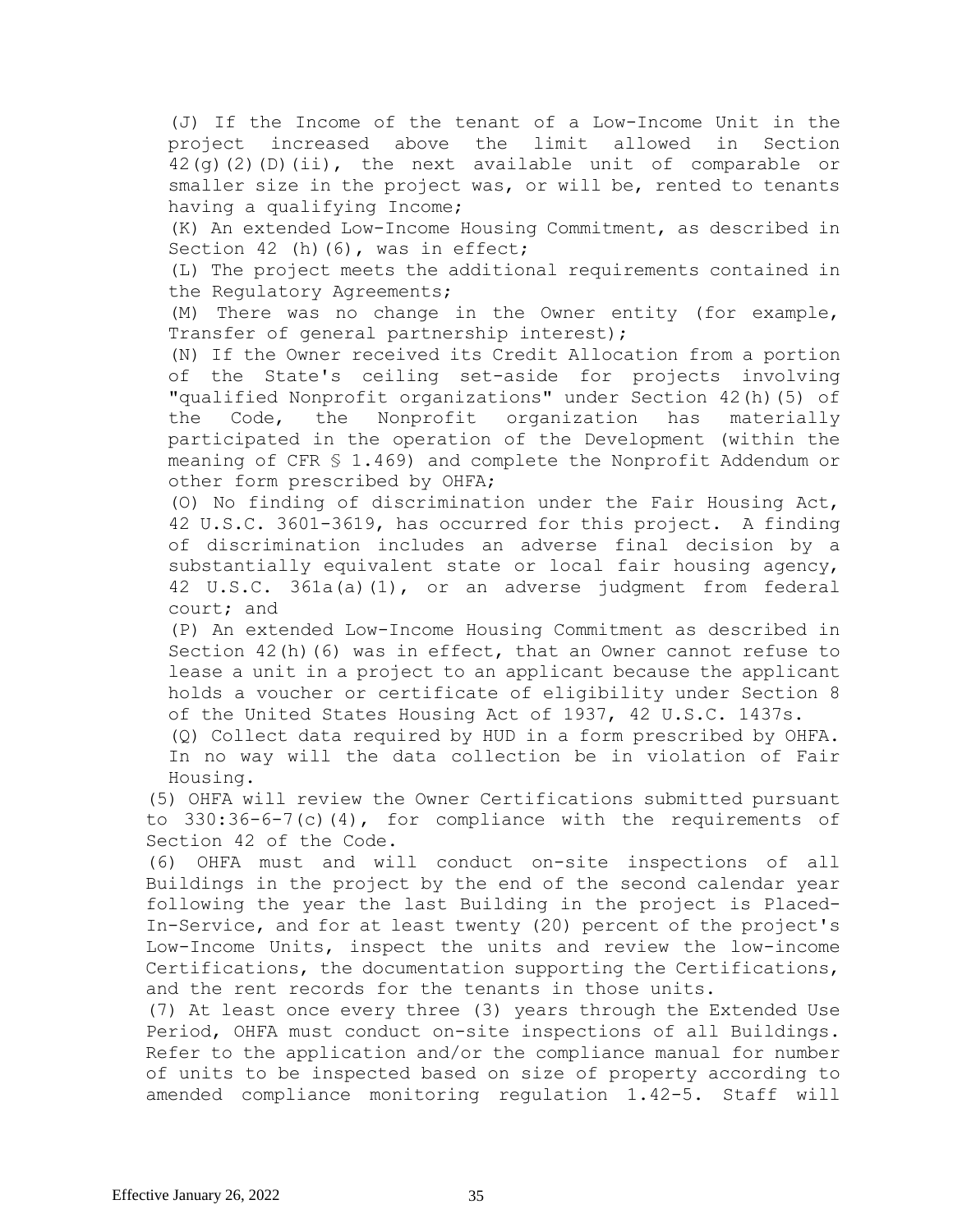(J) If the Income of the tenant of a Low-Income Unit in the project increased above the limit allowed in Section 42(g)(2)(D)(ii), the next available unit of comparable or smaller size in the project was, or will be, rented to tenants having a qualifying Income;

(K) An extended Low-Income Housing Commitment, as described in Section 42 (h)(6), was in effect;

(L) The project meets the additional requirements contained in the Regulatory Agreements;

(M) There was no change in the Owner entity (for example, Transfer of general partnership interest);

(N) If the Owner received its Credit Allocation from a portion of the State's ceiling set-aside for projects involving "qualified Nonprofit organizations" under Section 42(h)(5) of the Code, the Nonprofit organization has materially participated in the operation of the Development (within the meaning of CFR § 1.469) and complete the Nonprofit Addendum or other form prescribed by OHFA;

(O) No finding of discrimination under the Fair Housing Act, 42 U.S.C. 3601-3619, has occurred for this project. A finding of discrimination includes an adverse final decision by a substantially equivalent state or local fair housing agency, 42 U.S.C. 361a(a)(1), or an adverse judgment from federal court; and

(P) An extended Low-Income Housing Commitment as described in Section  $42(h)$  (6) was in effect, that an Owner cannot refuse to lease a unit in a project to an applicant because the applicant holds a voucher or certificate of eligibility under Section 8 of the United States Housing Act of 1937, 42 U.S.C. 1437s.

(Q) Collect data required by HUD in a form prescribed by OHFA. In no way will the data collection be in violation of Fair Housing.

(5) OHFA will review the Owner Certifications submitted pursuant to  $330:36-6-7(c)(4)$ , for compliance with the requirements of Section 42 of the Code.

(6) OHFA must and will conduct on-site inspections of all Buildings in the project by the end of the second calendar year following the year the last Building in the project is Placed-In-Service, and for at least twenty (20) percent of the project's Low-Income Units, inspect the units and review the low-income Certifications, the documentation supporting the Certifications, and the rent records for the tenants in those units.

(7) At least once every three (3) years through the Extended Use Period, OHFA must conduct on-site inspections of all Buildings. Refer to the application and/or the compliance manual for number of units to be inspected based on size of property according to amended compliance monitoring regulation 1.42-5. Staff will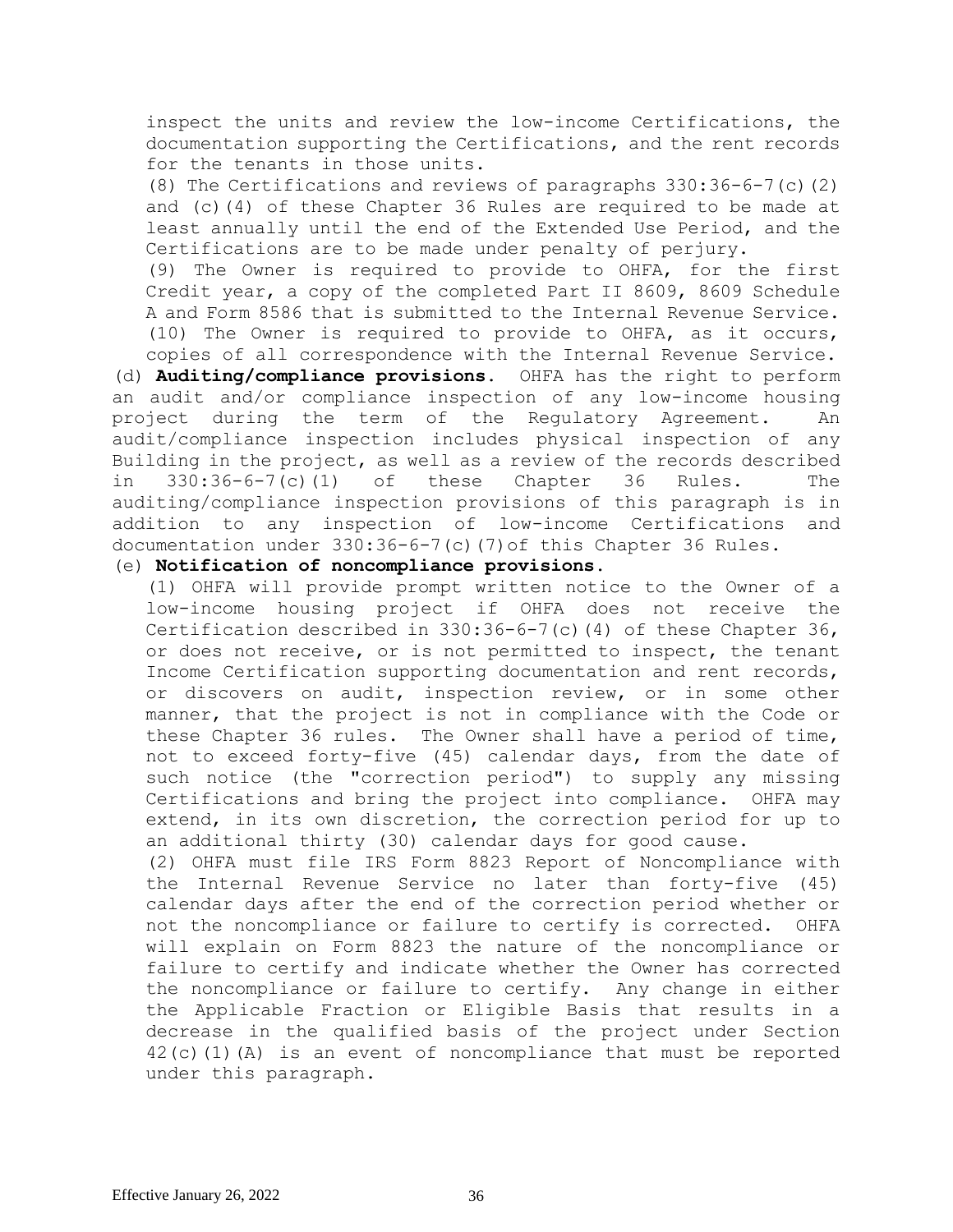inspect the units and review the low-income Certifications, the documentation supporting the Certifications, and the rent records for the tenants in those units.

(8) The Certifications and reviews of paragraphs 330:36-6-7(c)(2) and (c)(4) of these Chapter 36 Rules are required to be made at least annually until the end of the Extended Use Period, and the Certifications are to be made under penalty of perjury.

(9) The Owner is required to provide to OHFA, for the first Credit year, a copy of the completed Part II 8609, 8609 Schedule A and Form 8586 that is submitted to the Internal Revenue Service. (10) The Owner is required to provide to OHFA, as it occurs, copies of all correspondence with the Internal Revenue Service.

(d) **Auditing/compliance provisions.** OHFA has the right to perform an audit and/or compliance inspection of any low-income housing project during the term of the Regulatory Agreement. An audit/compliance inspection includes physical inspection of any Building in the project, as well as a review of the records described in 330:36-6-7(c)(1) of these Chapter 36 Rules. The auditing/compliance inspection provisions of this paragraph is in addition to any inspection of low-income Certifications and documentation under 330:36-6-7(c)(7)of this Chapter 36 Rules.

## (e) **Notification of noncompliance provisions.**

(1) OHFA will provide prompt written notice to the Owner of a low-income housing project if OHFA does not receive the Certification described in  $330:36-6-7$  (c) (4) of these Chapter  $36$ , or does not receive, or is not permitted to inspect, the tenant Income Certification supporting documentation and rent records, or discovers on audit, inspection review, or in some other manner, that the project is not in compliance with the Code or these Chapter 36 rules. The Owner shall have a period of time, not to exceed forty-five (45) calendar days, from the date of such notice (the "correction period") to supply any missing Certifications and bring the project into compliance. OHFA may extend, in its own discretion, the correction period for up to an additional thirty (30) calendar days for good cause.

(2) OHFA must file IRS Form 8823 Report of Noncompliance with the Internal Revenue Service no later than forty-five (45) calendar days after the end of the correction period whether or not the noncompliance or failure to certify is corrected. OHFA will explain on Form 8823 the nature of the noncompliance or failure to certify and indicate whether the Owner has corrected the noncompliance or failure to certify. Any change in either the Applicable Fraction or Eligible Basis that results in a decrease in the qualified basis of the project under Section 42(c)(1)(A) is an event of noncompliance that must be reported under this paragraph.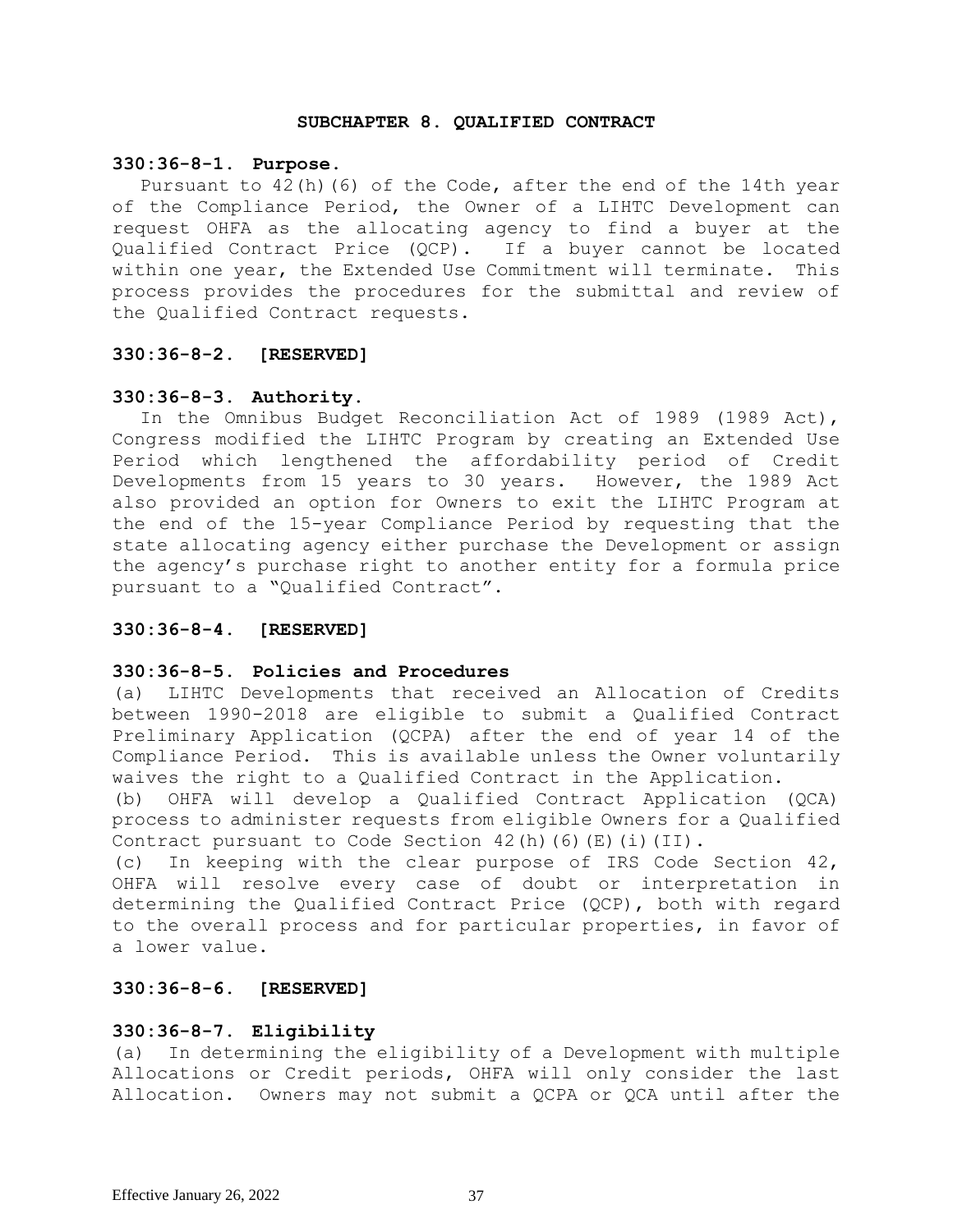#### **SUBCHAPTER 8. QUALIFIED CONTRACT**

#### **330:36-8-1. Purpose**.

Pursuant to 42(h)(6) of the Code, after the end of the 14th year of the Compliance Period, the Owner of a LIHTC Development can request OHFA as the allocating agency to find a buyer at the Qualified Contract Price (QCP). If a buyer cannot be located within one year, the Extended Use Commitment will terminate. This process provides the procedures for the submittal and review of the Qualified Contract requests.

## **330:36-8-2. [RESERVED]**

## **330:36-8-3. Authority.**

In the Omnibus Budget Reconciliation Act of 1989 (1989 Act), Congress modified the LIHTC Program by creating an Extended Use Period which lengthened the affordability period of Credit Developments from 15 years to 30 years. However, the 1989 Act also provided an option for Owners to exit the LIHTC Program at the end of the 15-year Compliance Period by requesting that the state allocating agency either purchase the Development or assign the agency's purchase right to another entity for a formula price pursuant to a "Qualified Contract".

## **330:36-8-4. [RESERVED]**

# **330:36-8-5. Policies and Procedures**

(a) LIHTC Developments that received an Allocation of Credits between 1990-2018 are eligible to submit a Qualified Contract Preliminary Application (QCPA) after the end of year 14 of the Compliance Period. This is available unless the Owner voluntarily waives the right to a Qualified Contract in the Application.

(b) OHFA will develop a Qualified Contract Application (QCA) process to administer requests from eligible Owners for a Qualified Contract pursuant to Code Section  $42(h)$  (6)(E)(i)(II).

(c) In keeping with the clear purpose of IRS Code Section 42, OHFA will resolve every case of doubt or interpretation in determining the Qualified Contract Price (QCP), both with regard to the overall process and for particular properties, in favor of a lower value.

# **330:36-8-6. [RESERVED]**

## **330:36-8-7. Eligibility**

(a) In determining the eligibility of a Development with multiple Allocations or Credit periods, OHFA will only consider the last Allocation. Owners may not submit a QCPA or QCA until after the